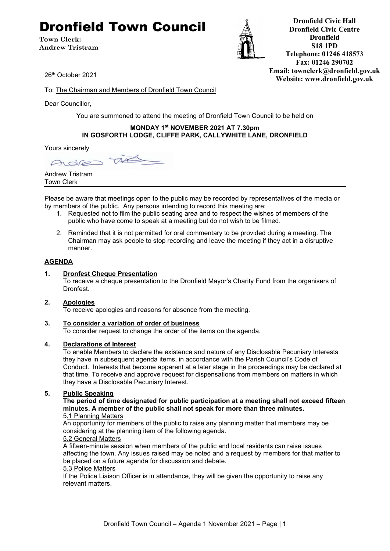# Dronfield Town Council

**Town Clerk: Andrew Tristram**



**Dronfield Civic Hall Dronfield Civic Centre Dronfield S18 1PD Telephone: 01246 418573 Fax: 01246 290702 Email: townclerk@dronfield.gov.uk Website: www.dronfield.gov.uk**

26th October 2021

To: The Chairman and Members of Dronfield Town Council

Dear Councillor,

You are summoned to attend the meeting of Dronfield Town Council to be held on

#### **MONDAY 1st NOVEMBER 2021 AT 7.30pm IN GOSFORTH LODGE, CLIFFE PARK, CALLYWHITE LANE, DRONFIELD**

Yours sincerely

 $\tau$ Adres

Andrew Tristram Town Clerk

Please be aware that meetings open to the public may be recorded by representatives of the media or by members of the public. Any persons intending to record this meeting are:

- 1. Requested not to film the public seating area and to respect the wishes of members of the public who have come to speak at a meeting but do not wish to be filmed.
- 2. Reminded that it is not permitted for oral commentary to be provided during a meeting. The Chairman may ask people to stop recording and leave the meeting if they act in a disruptive manner.

#### **AGENDA**

#### **1. Dronfest Cheque Presentation**

To receive a cheque presentation to the Dronfield Mayor's Charity Fund from the organisers of Dronfest.

#### **2. Apologies**

To receive apologies and reasons for absence from the meeting.

#### **3. To consider a variation of order of business**

To consider request to change the order of the items on the agenda.

#### **4. Declarations of Interest**

To enable Members to declare the existence and nature of any Disclosable Pecuniary Interests they have in subsequent agenda items, in accordance with the Parish Council's Code of Conduct. Interests that become apparent at a later stage in the proceedings may be declared at that time. To receive and approve request for dispensations from members on matters in which they have a Disclosable Pecuniary Interest.

#### **5. Public Speaking**

#### **The period of time designated for public participation at a meeting shall not exceed fifteen minutes. A member of the public shall not speak for more than three minutes.** 5.1 Planning Matters

An opportunity for members of the public to raise any planning matter that members may be

considering at the planning item of the following agenda.

#### 5.2 General Matters

A fifteen-minute session when members of the public and local residents can raise issues affecting the town. Any issues raised may be noted and a request by members for that matter to be placed on a future agenda for discussion and debate.

#### 5.3 Police Matters

If the Police Liaison Officer is in attendance, they will be given the opportunity to raise any relevant matters.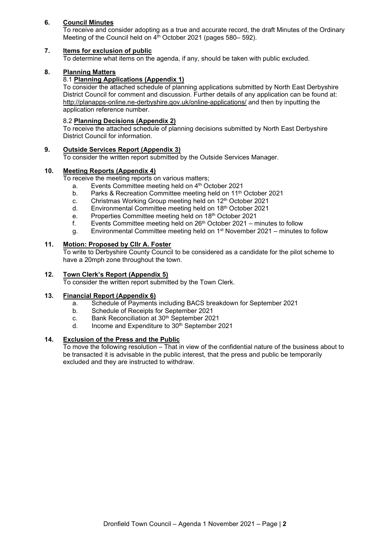#### **6. Council Minutes**

To receive and consider adopting as a true and accurate record, the draft Minutes of the Ordinary Meeting of the Council held on 4<sup>th</sup> October 2021 (pages 580– 592).

#### **7. Items for exclusion of public**

To determine what items on the agenda, if any, should be taken with public excluded.

#### **8. Planning Matters**

#### 8.1 **Planning Applications (Appendix 1)**

To consider the attached schedule of planning applications submitted by North East Derbyshire District Council for comment and discussion. Further details of any application can be found at: http://planapps-online.ne-derbyshire.gov.uk/online-applications/ and then by inputting the application reference number.

#### 8.2 **Planning Decisions (Appendix 2)**

To receive the attached schedule of planning decisions submitted by North East Derbyshire District Council for information.

#### **9. Outside Services Report (Appendix 3)**

To consider the written report submitted by the Outside Services Manager.

#### **10. Meeting Reports (Appendix 4)**

To receive the meeting reports on various matters;

- a. Events Committee meeting held on 4<sup>th</sup> October 2021
- b. Parks & Recreation Committee meeting held on 11<sup>th</sup> October 2021
- c. Christmas Working Group meeting held on 12<sup>th</sup> October 2021
- d. Environmental Committee meeting held on 18th October 2021
- e. Properties Committee meeting held on 18th October 2021
- f. Events Committee meeting held on  $26<sup>th</sup>$  October 2021 minutes to follow
- g. Environmental Committee meeting held on  $1<sup>st</sup>$  November 2021 minutes to follow

#### **11. Motion: Proposed by Cllr A. Foster**

To write to Derbyshire County Council to be considered as a candidate for the pilot scheme to have a 20mph zone throughout the town.

#### **12. Town Clerk's Report (Appendix 5)**

To consider the written report submitted by the Town Clerk.

#### **13. Financial Report (Appendix 6)**

- a. Schedule of Payments including BACS breakdown for September 2021
- b. Schedule of Receipts for September 2021<br>c. Bank Reconciliation at 30<sup>th</sup> September 202
- Bank Reconciliation at 30<sup>th</sup> September 2021
- d. Income and Expenditure to  $30<sup>th</sup>$  September 2021

#### **14. Exclusion of the Press and the Public**

To move the following resolution – That in view of the confidential nature of the business about to be transacted it is advisable in the public interest, that the press and public be temporarily excluded and they are instructed to withdraw.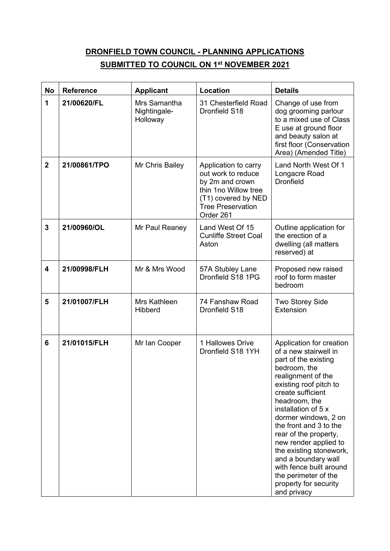# **DRONFIELD TOWN COUNCIL - PLANNING APPLICATIONS SUBMITTED TO COUNCIL ON 1st NOVEMBER 2021**

| <b>No</b>      | <b>Reference</b> | <b>Applicant</b>                         | Location                                                                                                                                              | <b>Details</b>                                                                                                                                                                                                                                                                                                                                                                                                                                          |
|----------------|------------------|------------------------------------------|-------------------------------------------------------------------------------------------------------------------------------------------------------|---------------------------------------------------------------------------------------------------------------------------------------------------------------------------------------------------------------------------------------------------------------------------------------------------------------------------------------------------------------------------------------------------------------------------------------------------------|
| 1              | 21/00620/FL      | Mrs Samantha<br>Nightingale-<br>Holloway | 31 Chesterfield Road<br>Dronfield S18                                                                                                                 | Change of use from<br>dog grooming parlour<br>to a mixed use of Class<br>E use at ground floor<br>and beauty salon at<br>first floor (Conservation<br>Area) (Amended Title)                                                                                                                                                                                                                                                                             |
| $\overline{2}$ | 21/00861/TPO     | Mr Chris Bailey                          | Application to carry<br>out work to reduce<br>by 2m and crown<br>thin 1no Willow tree<br>(T1) covered by NED<br><b>Tree Preservation</b><br>Order 261 | Land North West Of 1<br>Longacre Road<br><b>Dronfield</b>                                                                                                                                                                                                                                                                                                                                                                                               |
| $\overline{3}$ | 21/00960/OL      | Mr Paul Reaney                           | Land West Of 15<br><b>Cunliffe Street Coal</b><br>Aston                                                                                               | Outline application for<br>the erection of a<br>dwelling (all matters<br>reserved) at                                                                                                                                                                                                                                                                                                                                                                   |
| 4              | 21/00998/FLH     | Mr & Mrs Wood                            | 57A Stubley Lane<br>Dronfield S18 1PG                                                                                                                 | Proposed new raised<br>roof to form master<br>bedroom                                                                                                                                                                                                                                                                                                                                                                                                   |
| 5              | 21/01007/FLH     | Mrs Kathleen<br><b>Hibberd</b>           | 74 Fanshaw Road<br>Dronfield S18                                                                                                                      | <b>Two Storey Side</b><br>Extension                                                                                                                                                                                                                                                                                                                                                                                                                     |
| 6              | 21/01015/FLH     | Mr Ian Cooper                            | 1 Hallowes Drive<br>Dronfield S18 1YH                                                                                                                 | Application for creation<br>of a new stairwell in<br>part of the existing<br>bedroom, the<br>realignment of the<br>existing roof pitch to<br>create sufficient<br>headroom, the<br>installation of 5 x<br>dormer windows, 2 on<br>the front and 3 to the<br>rear of the property,<br>new render applied to<br>the existing stonework,<br>and a boundary wall<br>with fence built around<br>the perimeter of the<br>property for security<br>and privacy |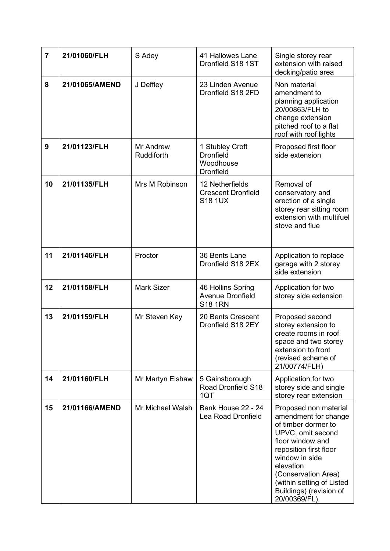| $\overline{7}$ | 21/01060/FLH   | S Adey                  | 41 Hallowes Lane<br>Dronfield S18 1ST                                | Single storey rear<br>extension with raised<br>decking/patio area                                                                                                                                                                                                      |
|----------------|----------------|-------------------------|----------------------------------------------------------------------|------------------------------------------------------------------------------------------------------------------------------------------------------------------------------------------------------------------------------------------------------------------------|
| 8              | 21/01065/AMEND | J Deffley               | 23 Linden Avenue<br>Dronfield S18 2FD                                | Non material<br>amendment to<br>planning application<br>20/00863/FLH to<br>change extension<br>pitched roof to a flat<br>roof with roof lights                                                                                                                         |
| 9              | 21/01123/FLH   | Mr Andrew<br>Ruddiforth | 1 Stubley Croft<br><b>Dronfield</b><br>Woodhouse<br><b>Dronfield</b> | Proposed first floor<br>side extension                                                                                                                                                                                                                                 |
| 10             | 21/01135/FLH   | Mrs M Robinson          | 12 Netherfields<br><b>Crescent Dronfield</b><br><b>S18 1UX</b>       | Removal of<br>conservatory and<br>erection of a single<br>storey rear sitting room<br>extension with multifuel<br>stove and flue                                                                                                                                       |
| 11             | 21/01146/FLH   | Proctor                 | 36 Bents Lane<br>Dronfield S18 2EX                                   | Application to replace<br>garage with 2 storey<br>side extension                                                                                                                                                                                                       |
| 12             | 21/01158/FLH   | <b>Mark Sizer</b>       | 46 Hollins Spring<br><b>Avenue Dronfield</b><br><b>S18 1RN</b>       | Application for two<br>storey side extension                                                                                                                                                                                                                           |
| 13             | 21/01159/FLH   | Mr Steven Kay           | 20 Bents Crescent<br>Dronfield S18 2EY                               | Proposed second<br>storey extension to<br>create rooms in roof<br>space and two storey<br>extension to front<br>(revised scheme of<br>21/00774/FLH)                                                                                                                    |
| 14             | 21/01160/FLH   | Mr Martyn Elshaw        | 5 Gainsborough<br>Road Dronfield S18<br>1QT                          | Application for two<br>storey side and single<br>storey rear extension                                                                                                                                                                                                 |
| 15             | 21/01166/AMEND | Mr Michael Walsh        | Bank House 22 - 24<br>Lea Road Dronfield                             | Proposed non material<br>amendment for change<br>of timber dormer to<br>UPVC, omit second<br>floor window and<br>reposition first floor<br>window in side<br>elevation<br>(Conservation Area)<br>(within setting of Listed<br>Buildings) (revision of<br>20/00369/FL). |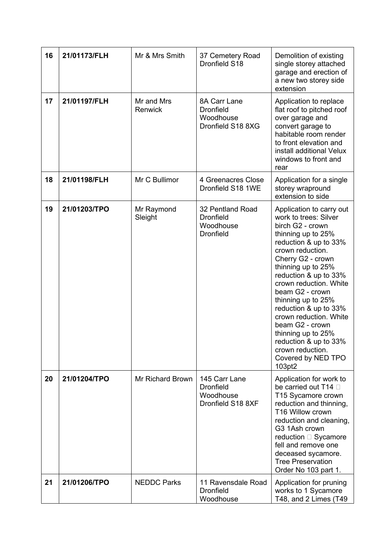| 16 | 21/01173/FLH | Mr & Mrs Smith        | 37 Cemetery Road<br>Dronfield S18                                     | Demolition of existing<br>single storey attached<br>garage and erection of<br>a new two storey side<br>extension                                                                                                                                                                                                                                                                                                                                         |
|----|--------------|-----------------------|-----------------------------------------------------------------------|----------------------------------------------------------------------------------------------------------------------------------------------------------------------------------------------------------------------------------------------------------------------------------------------------------------------------------------------------------------------------------------------------------------------------------------------------------|
| 17 | 21/01197/FLH | Mr and Mrs<br>Renwick | 8A Carr Lane<br><b>Dronfield</b><br>Woodhouse<br>Dronfield S18 8XG    | Application to replace<br>flat roof to pitched roof<br>over garage and<br>convert garage to<br>habitable room render<br>to front elevation and<br>install additional Velux<br>windows to front and<br>rear                                                                                                                                                                                                                                               |
| 18 | 21/01198/FLH | Mr C Bullimor         | 4 Greenacres Close<br>Dronfield S18 1WE                               | Application for a single<br>storey wrapround<br>extension to side                                                                                                                                                                                                                                                                                                                                                                                        |
| 19 | 21/01203/TPO | Mr Raymond<br>Sleight | 32 Pentland Road<br><b>Dronfield</b><br>Woodhouse<br><b>Dronfield</b> | Application to carry out<br>work to trees: Silver<br>birch G2 - crown<br>thinning up to 25%<br>reduction & up to 33%<br>crown reduction.<br>Cherry G2 - crown<br>thinning up to 25%<br>reduction & up to 33%<br>crown reduction. White<br>beam G2 - crown<br>thinning up to 25%<br>reduction & up to 33%<br>crown reduction. White<br>beam G2 - crown<br>thinning up to 25%<br>reduction & up to 33%<br>crown reduction.<br>Covered by NED TPO<br>103pt2 |
| 20 | 21/01204/TPO | Mr Richard Brown      | 145 Carr Lane<br><b>Dronfield</b><br>Woodhouse<br>Dronfield S18 8XF   | Application for work to<br>be carried out T14 D<br>T15 Sycamore crown<br>reduction and thinning,<br>T16 Willow crown<br>reduction and cleaning,<br>G3 1Ash crown<br>reduction □ Sycamore<br>fell and remove one<br>deceased sycamore.<br><b>Tree Preservation</b><br>Order No 103 part 1.                                                                                                                                                                |
| 21 | 21/01206/TPO | <b>NEDDC Parks</b>    | 11 Ravensdale Road<br><b>Dronfield</b><br>Woodhouse                   | Application for pruning<br>works to 1 Sycamore<br>T48, and 2 Limes (T49                                                                                                                                                                                                                                                                                                                                                                                  |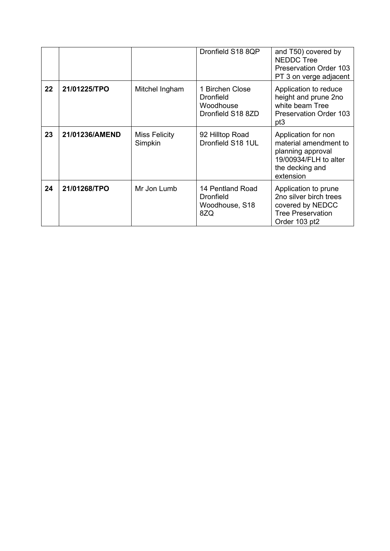|    |                |                          | Dronfield S18 8QP                                                     | and T50) covered by<br><b>NEDDC Tree</b><br><b>Preservation Order 103</b><br>PT 3 on verge adjacent                        |
|----|----------------|--------------------------|-----------------------------------------------------------------------|----------------------------------------------------------------------------------------------------------------------------|
| 22 | 21/01225/TPO   | Mitchel Ingham           | 1 Birchen Close<br><b>Dronfield</b><br>Woodhouse<br>Dronfield S18 8ZD | Application to reduce<br>height and prune 2no<br>white beam Tree<br><b>Preservation Order 103</b><br>pt <sub>3</sub>       |
| 23 | 21/01236/AMEND | Miss Felicity<br>Simpkin | 92 Hilltop Road<br>Dronfield S18 1UL                                  | Application for non<br>material amendment to<br>planning approval<br>19/00934/FLH to alter<br>the decking and<br>extension |
| 24 | 21/01268/TPO   | Mr Jon Lumb              | 14 Pentland Road<br>Dronfield<br>Woodhouse, S18<br>8ZQ                | Application to prune<br>2no silver birch trees<br>covered by NEDCC<br><b>Tree Preservation</b><br>Order 103 pt2            |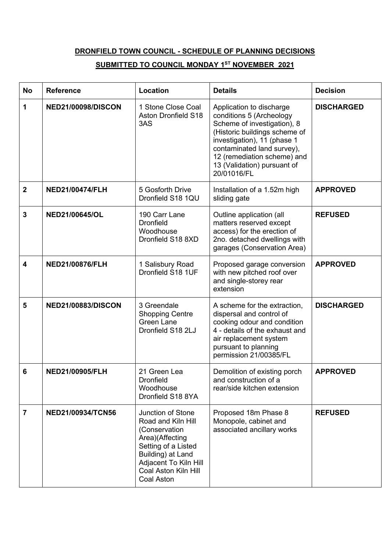# **DRONFIELD TOWN COUNCIL - SCHEDULE OF PLANNING DECISIONS**

# **SUBMITTED TO COUNCIL MONDAY 1ST NOVEMBER 2021**

| <b>No</b>               | <b>Reference</b>          | Location                                                                                                                                                                               | <b>Details</b>                                                                                                                                                                                                                                                 | <b>Decision</b>   |
|-------------------------|---------------------------|----------------------------------------------------------------------------------------------------------------------------------------------------------------------------------------|----------------------------------------------------------------------------------------------------------------------------------------------------------------------------------------------------------------------------------------------------------------|-------------------|
| 1                       | <b>NED21/00098/DISCON</b> | 1 Stone Close Coal<br><b>Aston Dronfield S18</b><br>3AS                                                                                                                                | Application to discharge<br>conditions 5 (Archeology<br>Scheme of investigation), 8<br>(Historic buildings scheme of<br>investigation), 11 (phase 1<br>contaminated land survey),<br>12 (remediation scheme) and<br>13 (Validation) pursuant of<br>20/01016/FL | <b>DISCHARGED</b> |
| $\mathbf{2}$            | <b>NED21/00474/FLH</b>    | 5 Gosforth Drive<br>Dronfield S18 1QU                                                                                                                                                  | Installation of a 1.52m high<br>sliding gate                                                                                                                                                                                                                   | <b>APPROVED</b>   |
| $\mathbf{3}$            | NED21/00645/OL            | 190 Carr Lane<br><b>Dronfield</b><br>Woodhouse<br>Dronfield S18 8XD                                                                                                                    | Outline application (all<br>matters reserved except<br>access) for the erection of<br>2no. detached dwellings with<br>garages (Conservation Area)                                                                                                              | <b>REFUSED</b>    |
| $\overline{\mathbf{4}}$ | <b>NED21/00876/FLH</b>    | 1 Salisbury Road<br>Dronfield S18 1UF                                                                                                                                                  | Proposed garage conversion<br>with new pitched roof over<br>and single-storey rear<br>extension                                                                                                                                                                | <b>APPROVED</b>   |
| 5                       | <b>NED21/00883/DISCON</b> | 3 Greendale<br><b>Shopping Centre</b><br>Green Lane<br>Dronfield S18 2LJ                                                                                                               | A scheme for the extraction,<br>dispersal and control of<br>cooking odour and condition<br>4 - details of the exhaust and<br>air replacement system<br>pursuant to planning<br>permission 21/00385/FL                                                          | <b>DISCHARGED</b> |
| 6                       | <b>NED21/00905/FLH</b>    | 21 Green Lea<br><b>Dronfield</b><br>Woodhouse<br>Dronfield S18 8YA                                                                                                                     | Demolition of existing porch<br>and construction of a<br>rear/side kitchen extension                                                                                                                                                                           | <b>APPROVED</b>   |
| $\overline{7}$          | <b>NED21/00934/TCN56</b>  | Junction of Stone<br>Road and Kiln Hill<br>(Conservation<br>Area)(Affecting<br>Setting of a Listed<br>Building) at Land<br>Adjacent To Kiln Hill<br>Coal Aston Kiln Hill<br>Coal Aston | Proposed 18m Phase 8<br>Monopole, cabinet and<br>associated ancillary works                                                                                                                                                                                    | <b>REFUSED</b>    |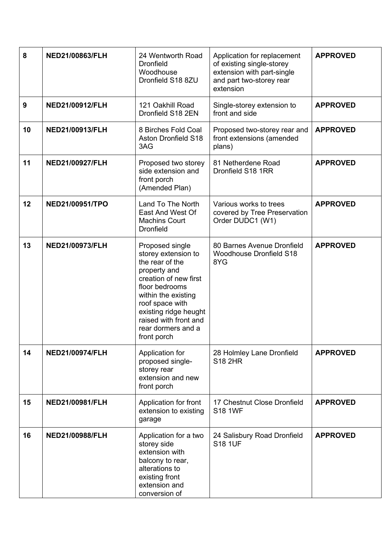| 8  | NED21/00863/FLH        | 24 Wentworth Road<br><b>Dronfield</b><br>Woodhouse<br>Dronfield S18 8ZU                                                                                                                                                                               | Application for replacement<br>of existing single-storey<br>extension with part-single<br>and part two-storey rear<br>extension | <b>APPROVED</b> |
|----|------------------------|-------------------------------------------------------------------------------------------------------------------------------------------------------------------------------------------------------------------------------------------------------|---------------------------------------------------------------------------------------------------------------------------------|-----------------|
| 9  | NED21/00912/FLH        | 121 Oakhill Road<br>Dronfield S18 2EN                                                                                                                                                                                                                 | Single-storey extension to<br>front and side                                                                                    | <b>APPROVED</b> |
| 10 | NED21/00913/FLH        | 8 Birches Fold Coal<br><b>Aston Dronfield S18</b><br>3AG                                                                                                                                                                                              | Proposed two-storey rear and<br>front extensions (amended<br>plans)                                                             | <b>APPROVED</b> |
| 11 | NED21/00927/FLH        | Proposed two storey<br>side extension and<br>front porch<br>(Amended Plan)                                                                                                                                                                            | 81 Netherdene Road<br>Dronfield S18 1RR                                                                                         | <b>APPROVED</b> |
| 12 | NED21/00951/TPO        | Land To The North<br>East And West Of<br><b>Machins Court</b><br><b>Dronfield</b>                                                                                                                                                                     | Various works to trees<br>covered by Tree Preservation<br>Order DUDC1 (W1)                                                      | <b>APPROVED</b> |
| 13 | NED21/00973/FLH        | Proposed single<br>storey extension to<br>the rear of the<br>property and<br>creation of new first<br>floor bedrooms<br>within the existing<br>roof space with<br>existing ridge heught<br>raised with front and<br>rear dormers and a<br>front porch | 80 Barnes Avenue Dronfield<br><b>Woodhouse Dronfield S18</b><br>8YG                                                             | <b>APPROVED</b> |
| 14 | <b>NED21/00974/FLH</b> | Application for<br>proposed single-<br>storey rear<br>extension and new<br>front porch                                                                                                                                                                | 28 Holmley Lane Dronfield<br><b>S18 2HR</b>                                                                                     | <b>APPROVED</b> |
| 15 | NED21/00981/FLH        | Application for front<br>extension to existing<br>garage                                                                                                                                                                                              | 17 Chestnut Close Dronfield<br><b>S18 1WF</b>                                                                                   | <b>APPROVED</b> |
| 16 | <b>NED21/00988/FLH</b> | Application for a two<br>storey side<br>extension with<br>balcony to rear,<br>alterations to<br>existing front<br>extension and<br>conversion of                                                                                                      | 24 Salisbury Road Dronfield<br><b>S18 1UF</b>                                                                                   | <b>APPROVED</b> |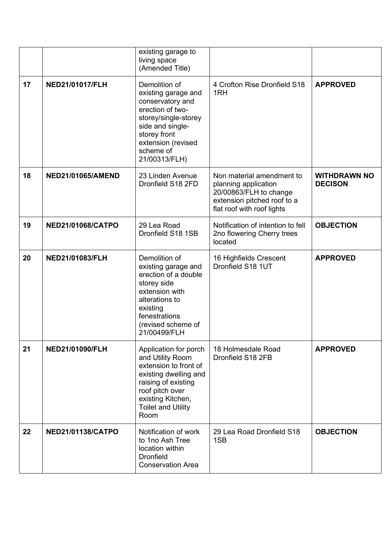|    |                          | existing garage to<br>living space<br>(Amended Title)                                                                                                                                           |                                                                                                                                          |                                       |
|----|--------------------------|-------------------------------------------------------------------------------------------------------------------------------------------------------------------------------------------------|------------------------------------------------------------------------------------------------------------------------------------------|---------------------------------------|
| 17 | <b>NED21/01017/FLH</b>   | Demolition of<br>existing garage and<br>conservatory and<br>erection of two-<br>storey/single-storey<br>side and single-<br>storey front<br>extension (revised<br>scheme of<br>21/00313/FLH)    | 4 Crofton Rise Dronfield S18<br>1RH                                                                                                      | <b>APPROVED</b>                       |
| 18 | <b>NED21/01065/AMEND</b> | 23 Linden Avenue<br>Dronfield S18 2FD                                                                                                                                                           | Non material amendment to<br>planning application<br>20/00863/FLH to change<br>extension pitched roof to a<br>flat roof with roof lights | <b>WITHDRAWN NO</b><br><b>DECISON</b> |
| 19 | <b>NED21/01068/CATPO</b> | 29 Lea Road<br>Dronfield S18 1SB                                                                                                                                                                | Notification of intention to fell<br>2no flowering Cherry trees<br>located                                                               | <b>OBJECTION</b>                      |
| 20 | <b>NED21/01083/FLH</b>   | Demolition of<br>existing garage and<br>erection of a double<br>storey side<br>extension with<br>alterations to<br>existing<br>fenestrations<br>(revised scheme of<br>21/00499/FLH              | 16 Highfields Crescent<br>Dronfield S18 1UT                                                                                              | <b>APPROVED</b>                       |
| 21 | <b>NED21/01090/FLH</b>   | Application for porch<br>and Utility Room<br>extension to front of<br>existing dwelling and<br>raising of existing<br>roof pitch over<br>existing Kitchen,<br><b>Toilet and Utility</b><br>Room | 18 Holmesdale Road<br>Dronfield S18 2FB                                                                                                  | <b>APPROVED</b>                       |
| 22 | <b>NED21/01138/CATPO</b> | Notification of work<br>to 1no Ash Tree<br>location within<br><b>Dronfield</b><br><b>Conservation Area</b>                                                                                      | 29 Lea Road Dronfield S18<br>1SB                                                                                                         | <b>OBJECTION</b>                      |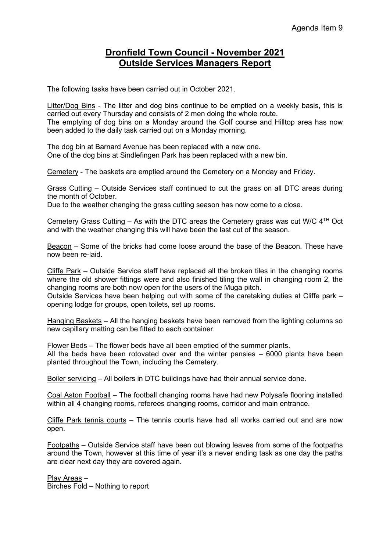# **Dronfield Town Council - November 2021 Outside Services Managers Report**

The following tasks have been carried out in October 2021.

Litter/Dog Bins - The litter and dog bins continue to be emptied on a weekly basis, this is carried out every Thursday and consists of 2 men doing the whole route. The emptying of dog bins on a Monday around the Golf course and Hilltop area has now been added to the daily task carried out on a Monday morning.

The dog bin at Barnard Avenue has been replaced with a new one. One of the dog bins at Sindlefingen Park has been replaced with a new bin.

Cemetery - The baskets are emptied around the Cemetery on a Monday and Friday.

Grass Cutting – Outside Services staff continued to cut the grass on all DTC areas during the month of October.

Due to the weather changing the grass cutting season has now come to a close.

Cemetery Grass Cutting – As with the DTC areas the Cemetery grass was cut W/C  $4<sup>TH</sup>$  Oct and with the weather changing this will have been the last cut of the season.

Beacon – Some of the bricks had come loose around the base of the Beacon. These have now been re-laid.

Cliffe Park – Outside Service staff have replaced all the broken tiles in the changing rooms where the old shower fittings were and also finished tiling the wall in changing room 2, the changing rooms are both now open for the users of the Muga pitch.

Outside Services have been helping out with some of the caretaking duties at Cliffe park – opening lodge for groups, open toilets, set up rooms.

Hanging Baskets – All the hanging baskets have been removed from the lighting columns so new capillary matting can be fitted to each container.

Flower Beds – The flower beds have all been emptied of the summer plants. All the beds have been rotovated over and the winter pansies – 6000 plants have been planted throughout the Town, including the Cemetery.

Boiler servicing – All boilers in DTC buildings have had their annual service done.

Coal Aston Football – The football changing rooms have had new Polysafe flooring installed within all 4 changing rooms, referees changing rooms, corridor and main entrance.

Cliffe Park tennis courts – The tennis courts have had all works carried out and are now open.

Footpaths – Outside Service staff have been out blowing leaves from some of the footpaths around the Town, however at this time of year it's a never ending task as one day the paths are clear next day they are covered again.

Play Areas – Birches Fold – Nothing to report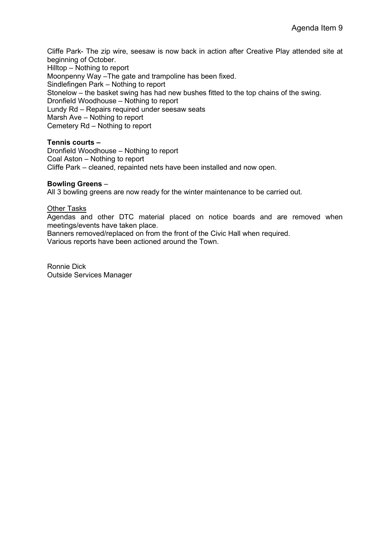Cliffe Park- The zip wire, seesaw is now back in action after Creative Play attended site at beginning of October.

Hilltop – Nothing to report

Moonpenny Way –The gate and trampoline has been fixed.

Sindlefingen Park – Nothing to report

Stonelow – the basket swing has had new bushes fitted to the top chains of the swing.

Dronfield Woodhouse – Nothing to report

Lundy Rd – Repairs required under seesaw seats

Marsh Ave – Nothing to report

Cemetery Rd – Nothing to report

### **Tennis courts –**

Dronfield Woodhouse – Nothing to report Coal Aston – Nothing to report Cliffe Park – cleaned, repainted nets have been installed and now open.

#### **Bowling Greens** –

All 3 bowling greens are now ready for the winter maintenance to be carried out.

Other Tasks

Agendas and other DTC material placed on notice boards and are removed when meetings/events have taken place.

Banners removed/replaced on from the front of the Civic Hall when required. Various reports have been actioned around the Town.

Ronnie Dick Outside Services Manager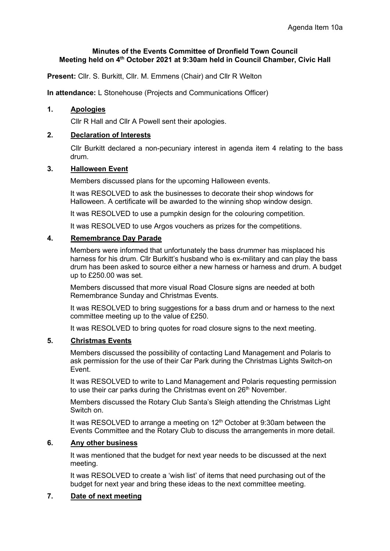### **Minutes of the Events Committee of Dronfield Town Council Meeting held on 4th October 2021 at 9:30am held in Council Chamber, Civic Hall**

**Present:** Cllr. S. Burkitt, Cllr. M. Emmens (Chair) and Cllr R Welton

**In attendance:** L Stonehouse (Projects and Communications Officer)

#### **1. Apologies**

Cllr R Hall and Cllr A Powell sent their apologies.

## **2. Declaration of Interests**

Cllr Burkitt declared a non-pecuniary interest in agenda item 4 relating to the bass drum.

## **3. Halloween Event**

Members discussed plans for the upcoming Halloween events.

It was RESOLVED to ask the businesses to decorate their shop windows for Halloween. A certificate will be awarded to the winning shop window design.

It was RESOLVED to use a pumpkin design for the colouring competition.

It was RESOLVED to use Argos vouchers as prizes for the competitions.

#### **4. Remembrance Day Parade**

Members were informed that unfortunately the bass drummer has misplaced his harness for his drum. Cllr Burkitt's husband who is ex-military and can play the bass drum has been asked to source either a new harness or harness and drum. A budget up to £250.00 was set.

Members discussed that more visual Road Closure signs are needed at both Remembrance Sunday and Christmas Events.

It was RESOLVED to bring suggestions for a bass drum and or harness to the next committee meeting up to the value of £250.

It was RESOLVED to bring quotes for road closure signs to the next meeting.

### **5. Christmas Events**

Members discussed the possibility of contacting Land Management and Polaris to ask permission for the use of their Car Park during the Christmas Lights Switch-on Event.

It was RESOLVED to write to Land Management and Polaris requesting permission to use their car parks during the Christmas event on 26<sup>th</sup> November.

Members discussed the Rotary Club Santa's Sleigh attending the Christmas Light Switch on.

It was RESOLVED to arrange a meeting on  $12<sup>th</sup>$  October at 9:30am between the Events Committee and the Rotary Club to discuss the arrangements in more detail.

#### **6. Any other business**

It was mentioned that the budget for next year needs to be discussed at the next meeting.

It was RESOLVED to create a 'wish list' of items that need purchasing out of the budget for next year and bring these ideas to the next committee meeting.

# **7. Date of next meeting**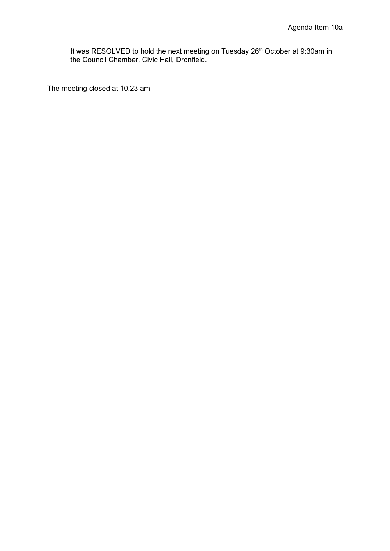It was RESOLVED to hold the next meeting on Tuesday 26<sup>th</sup> October at 9:30am in the Council Chamber, Civic Hall, Dronfield.

The meeting closed at 10.23 am.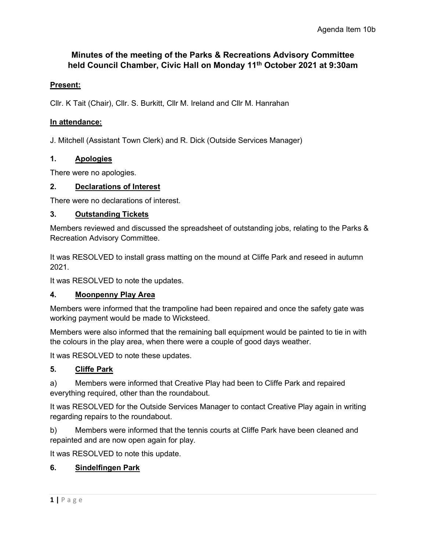# **Minutes of the meeting of the Parks & Recreations Advisory Committee held Council Chamber, Civic Hall on Monday 11th October 2021 at 9:30am**

# **Present:**

Cllr. K Tait (Chair), Cllr. S. Burkitt, Cllr M. Ireland and Cllr M. Hanrahan

# **In attendance:**

J. Mitchell (Assistant Town Clerk) and R. Dick (Outside Services Manager)

# **1. Apologies**

There were no apologies.

# **2. Declarations of Interest**

There were no declarations of interest.

# **3. Outstanding Tickets**

Members reviewed and discussed the spreadsheet of outstanding jobs, relating to the Parks & Recreation Advisory Committee.

It was RESOLVED to install grass matting on the mound at Cliffe Park and reseed in autumn 2021.

It was RESOLVED to note the updates.

# **4. Moonpenny Play Area**

Members were informed that the trampoline had been repaired and once the safety gate was working payment would be made to Wicksteed.

Members were also informed that the remaining ball equipment would be painted to tie in with the colours in the play area, when there were a couple of good days weather.

It was RESOLVED to note these updates.

# **5. Cliffe Park**

a) Members were informed that Creative Play had been to Cliffe Park and repaired everything required, other than the roundabout.

It was RESOLVED for the Outside Services Manager to contact Creative Play again in writing regarding repairs to the roundabout.

b) Members were informed that the tennis courts at Cliffe Park have been cleaned and repainted and are now open again for play.

It was RESOLVED to note this update.

# **6. Sindelfingen Park**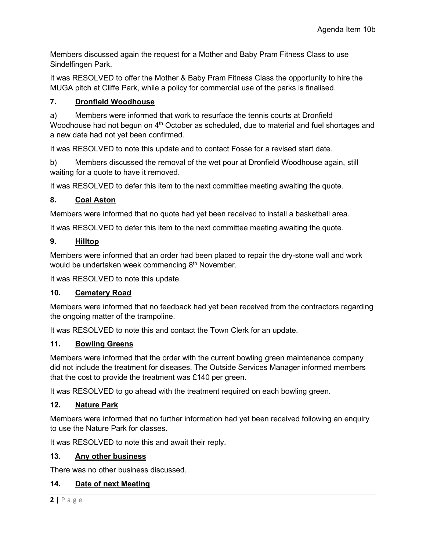Members discussed again the request for a Mother and Baby Pram Fitness Class to use Sindelfingen Park.

It was RESOLVED to offer the Mother & Baby Pram Fitness Class the opportunity to hire the MUGA pitch at Cliffe Park, while a policy for commercial use of the parks is finalised.

# **7. Dronfield Woodhouse**

a) Members were informed that work to resurface the tennis courts at Dronfield Woodhouse had not begun on 4<sup>th</sup> October as scheduled, due to material and fuel shortages and a new date had not yet been confirmed.

It was RESOLVED to note this update and to contact Fosse for a revised start date.

b) Members discussed the removal of the wet pour at Dronfield Woodhouse again, still waiting for a quote to have it removed.

It was RESOLVED to defer this item to the next committee meeting awaiting the quote.

# **8. Coal Aston**

Members were informed that no quote had yet been received to install a basketball area.

It was RESOLVED to defer this item to the next committee meeting awaiting the quote.

# **9. Hilltop**

Members were informed that an order had been placed to repair the dry-stone wall and work would be undertaken week commencing  $8<sup>th</sup>$  November.

It was RESOLVED to note this update.

# **10. Cemetery Road**

Members were informed that no feedback had yet been received from the contractors regarding the ongoing matter of the trampoline.

It was RESOLVED to note this and contact the Town Clerk for an update.

# **11. Bowling Greens**

Members were informed that the order with the current bowling green maintenance company did not include the treatment for diseases. The Outside Services Manager informed members that the cost to provide the treatment was £140 per green.

It was RESOLVED to go ahead with the treatment required on each bowling green.

# **12. Nature Park**

Members were informed that no further information had yet been received following an enquiry to use the Nature Park for classes.

It was RESOLVED to note this and await their reply.

# **13. Any other business**

There was no other business discussed.

# **14. Date of next Meeting**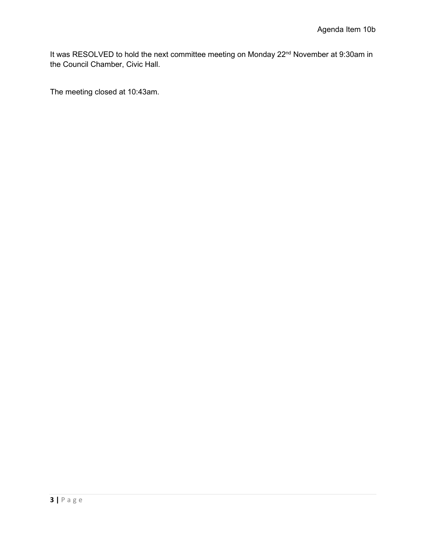It was RESOLVED to hold the next committee meeting on Monday 22<sup>nd</sup> November at 9:30am in the Council Chamber, Civic Hall.

The meeting closed at 10:43am.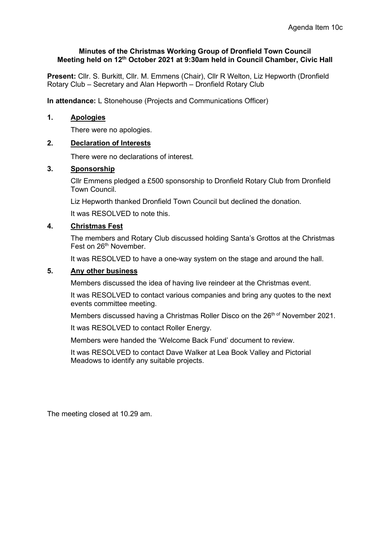#### **Minutes of the Christmas Working Group of Dronfield Town Council Meeting held on 12th October 2021 at 9:30am held in Council Chamber, Civic Hall**

**Present:** Cllr. S. Burkitt, Cllr. M. Emmens (Chair), Cllr R Welton, Liz Hepworth (Dronfield Rotary Club – Secretary and Alan Hepworth – Dronfield Rotary Club

**In attendance:** L Stonehouse (Projects and Communications Officer)

#### **1. Apologies**

There were no apologies.

### **2. Declaration of Interests**

There were no declarations of interest.

# **3. Sponsorship**

Cllr Emmens pledged a £500 sponsorship to Dronfield Rotary Club from Dronfield Town Council.

Liz Hepworth thanked Dronfield Town Council but declined the donation.

It was RESOLVED to note this.

#### **4. Christmas Fest**

The members and Rotary Club discussed holding Santa's Grottos at the Christmas Fest on 26<sup>th</sup> November.

It was RESOLVED to have a one-way system on the stage and around the hall.

#### **5. Any other business**

Members discussed the idea of having live reindeer at the Christmas event.

It was RESOLVED to contact various companies and bring any quotes to the next events committee meeting.

Members discussed having a Christmas Roller Disco on the 26<sup>th of</sup> November 2021.

It was RESOLVED to contact Roller Energy.

Members were handed the 'Welcome Back Fund' document to review.

It was RESOLVED to contact Dave Walker at Lea Book Valley and Pictorial Meadows to identify any suitable projects.

The meeting closed at 10.29 am.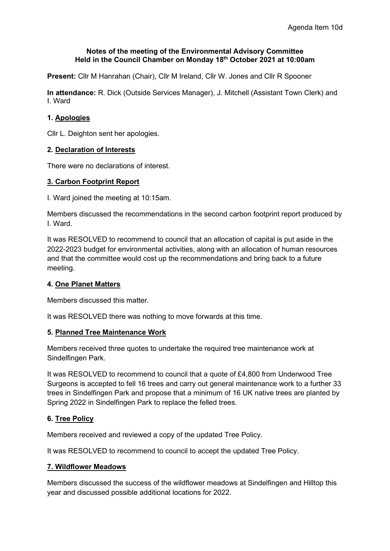#### **Notes of the meeting of the Environmental Advisory Committee Held in the Council Chamber on Monday 18th October 2021 at 10:00am**

**Present:** Cllr M Hanrahan (Chair), Cllr M Ireland, Cllr W. Jones and Cllr R Spooner

**In attendance:** R. Dick (Outside Services Manager), J. Mitchell (Assistant Town Clerk) and I. Ward

# **1. Apologies**

Cllr L. Deighton sent her apologies.

# **2. Declaration of Interests**

There were no declarations of interest.

### **3. Carbon Footprint Report**

I. Ward joined the meeting at 10:15am.

Members discussed the recommendations in the second carbon footprint report produced by I. Ward.

It was RESOLVED to recommend to council that an allocation of capital is put aside in the 2022-2023 budget for environmental activities, along with an allocation of human resources and that the committee would cost up the recommendations and bring back to a future meeting.

### **4. One Planet Matters**

Members discussed this matter.

It was RESOLVED there was nothing to move forwards at this time.

### **5. Planned Tree Maintenance Work**

Members received three quotes to undertake the required tree maintenance work at Sindelfingen Park.

It was RESOLVED to recommend to council that a quote of £4,800 from Underwood Tree Surgeons is accepted to fell 16 trees and carry out general maintenance work to a further 33 trees in Sindelfingen Park and propose that a minimum of 16 UK native trees are planted by Spring 2022 in Sindelfingen Park to replace the felled trees.

### **6. Tree Policy**

Members received and reviewed a copy of the updated Tree Policy.

It was RESOLVED to recommend to council to accept the updated Tree Policy.

### **7. Wildflower Meadows**

Members discussed the success of the wildflower meadows at Sindelfingen and Hilltop this year and discussed possible additional locations for 2022.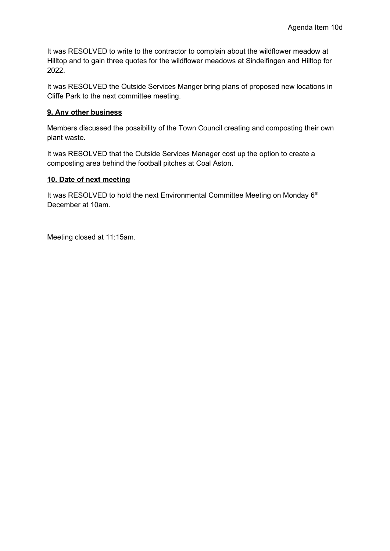It was RESOLVED to write to the contractor to complain about the wildflower meadow at Hilltop and to gain three quotes for the wildflower meadows at Sindelfingen and Hilltop for 2022.

It was RESOLVED the Outside Services Manger bring plans of proposed new locations in Cliffe Park to the next committee meeting.

## **9. Any other business**

Members discussed the possibility of the Town Council creating and composting their own plant waste.

It was RESOLVED that the Outside Services Manager cost up the option to create a composting area behind the football pitches at Coal Aston.

# **10. Date of next meeting**

It was RESOLVED to hold the next Environmental Committee Meeting on Monday 6<sup>th</sup> December at 10am.

Meeting closed at 11:15am.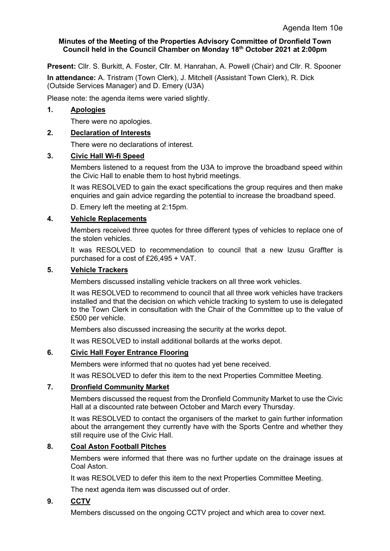# **Minutes of the Meeting of the Properties Advisory Committee of Dronfield Town Council held in the Council Chamber on Monday 18th October 2021 at 2:00pm**

**Present:** Cllr. S. Burkitt, A. Foster, Cllr. M. Hanrahan, A. Powell (Chair) and Cllr. R. Spooner

**In attendance:** A. Tristram (Town Clerk), J. Mitchell (Assistant Town Clerk), R. Dick (Outside Services Manager) and D. Emery (U3A)

Please note: the agenda items were varied slightly.

### **1. Apologies**

There were no apologies.

# **2. Declaration of Interests**

There were no declarations of interest.

### **3. Civic Hall Wi-fi Speed**

Members listened to a request from the U3A to improve the broadband speed within the Civic Hall to enable them to host hybrid meetings.

It was RESOLVED to gain the exact specifications the group requires and then make enquiries and gain advice regarding the potential to increase the broadband speed.

D. Emery left the meeting at 2:15pm.

### **4. Vehicle Replacements**

Members received three quotes for three different types of vehicles to replace one of the stolen vehicles.

It was RESOLVED to recommendation to council that a new Izusu Graffter is purchased for a cost of £26,495 + VAT.

# **5. Vehicle Trackers**

Members discussed installing vehicle trackers on all three work vehicles.

It was RESOLVED to recommend to council that all three work vehicles have trackers installed and that the decision on which vehicle tracking to system to use is delegated to the Town Clerk in consultation with the Chair of the Committee up to the value of £500 per vehicle.

Members also discussed increasing the security at the works depot.

It was RESOLVED to install additional bollards at the works depot.

### **6. Civic Hall Foyer Entrance Flooring**

Members were informed that no quotes had yet bene received.

It was RESOLVED to defer this item to the next Properties Committee Meeting.

### **7. Dronfield Community Market**

Members discussed the request from the Dronfield Community Market to use the Civic Hall at a discounted rate between October and March every Thursday.

It was RESOLVED to contact the organisers of the market to gain further information about the arrangement they currently have with the Sports Centre and whether they still require use of the Civic Hall.

### **8. Coal Aston Football Pitches**

Members were informed that there was no further update on the drainage issues at Coal Aston.

It was RESOLVED to defer this item to the next Properties Committee Meeting.

The next agenda item was discussed out of order.

# **9. CCTV**

Members discussed on the ongoing CCTV project and which area to cover next.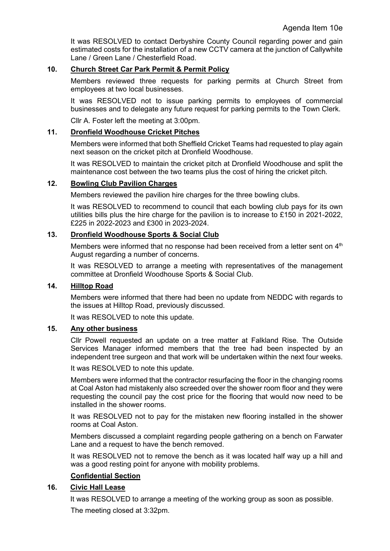It was RESOLVED to contact Derbyshire County Council regarding power and gain estimated costs for the installation of a new CCTV camera at the junction of Callywhite Lane / Green Lane / Chesterfield Road.

# **10. Church Street Car Park Permit & Permit Policy**

Members reviewed three requests for parking permits at Church Street from employees at two local businesses.

It was RESOLVED not to issue parking permits to employees of commercial businesses and to delegate any future request for parking permits to the Town Clerk.

Cllr A. Foster left the meeting at 3:00pm.

#### **11. Dronfield Woodhouse Cricket Pitches**

Members were informed that both Sheffield Cricket Teams had requested to play again next season on the cricket pitch at Dronfield Woodhouse.

It was RESOLVED to maintain the cricket pitch at Dronfield Woodhouse and split the maintenance cost between the two teams plus the cost of hiring the cricket pitch.

#### **12. Bowling Club Pavilion Charges**

Members reviewed the pavilion hire charges for the three bowling clubs.

It was RESOLVED to recommend to council that each bowling club pays for its own utilities bills plus the hire charge for the pavilion is to increase to £150 in 2021-2022, £225 in 2022-2023 and £300 in 2023-2024.

#### **13. Dronfield Woodhouse Sports & Social Club**

Members were informed that no response had been received from a letter sent on  $4<sup>th</sup>$ August regarding a number of concerns.

It was RESOLVED to arrange a meeting with representatives of the management committee at Dronfield Woodhouse Sports & Social Club.

# **14. Hilltop Road**

Members were informed that there had been no update from NEDDC with regards to the issues at Hilltop Road, previously discussed.

It was RESOLVED to note this update.

#### **15. Any other business**

Cllr Powell requested an update on a tree matter at Falkland Rise. The Outside Services Manager informed members that the tree had been inspected by an independent tree surgeon and that work will be undertaken within the next four weeks.

It was RESOLVED to note this update.

Members were informed that the contractor resurfacing the floor in the changing rooms at Coal Aston had mistakenly also screeded over the shower room floor and they were requesting the council pay the cost price for the flooring that would now need to be installed in the shower rooms.

It was RESOLVED not to pay for the mistaken new flooring installed in the shower rooms at Coal Aston.

Members discussed a complaint regarding people gathering on a bench on Farwater Lane and a request to have the bench removed.

It was RESOLVED not to remove the bench as it was located half way up a hill and was a good resting point for anyone with mobility problems.

### **Confidential Section**

### **16. Civic Hall Lease**

It was RESOLVED to arrange a meeting of the working group as soon as possible.

The meeting closed at 3:32pm.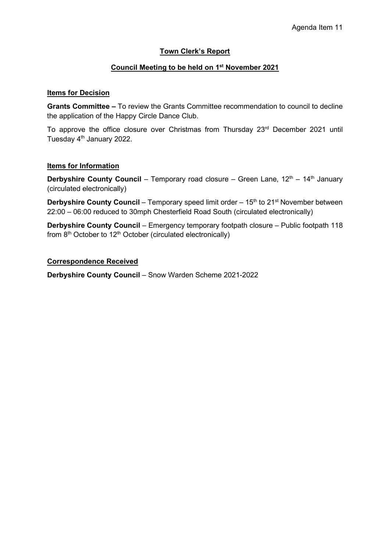# **Town Clerk's Report**

# **Council Meeting to be held on 1st November 2021**

#### **Items for Decision**

**Grants Committee –** To review the Grants Committee recommendation to council to decline the application of the Happy Circle Dance Club.

To approve the office closure over Christmas from Thursday 23<sup>rd</sup> December 2021 until Tuesday 4<sup>th</sup> January 2022.

#### **Items for Information**

**Derbyshire County Council** – Temporary road closure – Green Lane, 12<sup>th</sup> – 14<sup>th</sup> January (circulated electronically)

**Derbyshire County Council** – Temporary speed limit order – 15<sup>th</sup> to 21<sup>st</sup> November between 22:00 – 06:00 reduced to 30mph Chesterfield Road South (circulated electronically)

**Derbyshire County Council** – Emergency temporary footpath closure – Public footpath 118 from 8<sup>th</sup> October to 12<sup>th</sup> October (circulated electronically)

### **Correspondence Received**

**Derbyshire County Council** – Snow Warden Scheme 2021-2022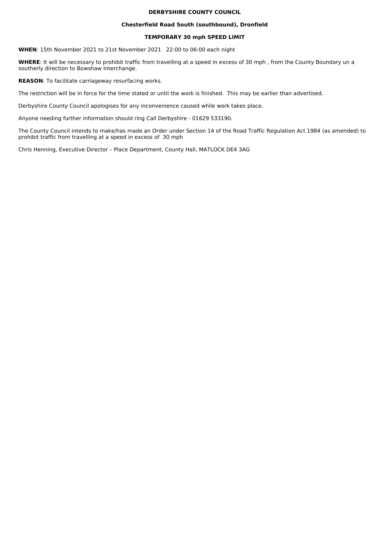#### **DERBYSHIRE COUNTY COUNCIL**

#### **Chesterfield Road South (southbound), Dronfield**

#### **TEMPORARY 30 mph SPEED LIMIT**

**WHEN:** 15th November 2021 to 21st November 2021 22:00 to 06:00 each night

WHERE: It will be necessary to prohibit traffic from travelling at a speed in excess of 30 mph, from the County Boundary un a southerly direction to Bowshaw Interchange.

**REASON**: To facilitate carriageway resurfacing works.

The restriction will be in force for the time stated or until the work is finished. This may be earlier than advertised.

Derbyshire County Council apologises for any inconvenience caused while work takes place.

Anyone needing further information should ring Call Derbyshire - 01629 533190.

The County Council intends to make/has made an Order under Section 14 of the Road Traffic Regulation Act 1984 (as amended) to prohibit traffic from travelling at a speed in excess of 30 mph

Chris Henning, Executive Director - Place Department, County Hall, MATLOCK DE4 3AG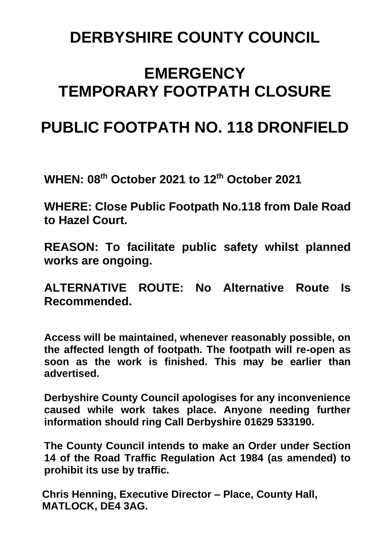# **DERBYSHIRE COUNTY COUNCIL**

# **EMERGENCY TEMPORARY FOOTPATH CLOSURE**

# **PUBLIC FOOTPATH NO. 118 DRONFIELD**

**WHEN: 08th October 2021 to 12 th October 2021**

**WHERE: Close Public Footpath No.118 from Dale Road to Hazel Court.**

**REASON: To facilitate public safety whilst planned works are ongoing.**

**ALTERNATIVE ROUTE: No Alternative Route Is Recommended.**

**Access will be maintained, whenever reasonably possible, on the affected length of footpath. The footpath will re-open as soon as the work is finished. This may be earlier than advertised.**

**Derbyshire County Council apologises for any inconvenience caused while work takes place. Anyone needing further information should ring Call Derbyshire 01629 533190.** 

**The County Council intends to make an Order under Section 14 of the Road Traffic Regulation Act 1984 (as amended) to prohibit its use by traffic.**

**Chris Henning, Executive Director – Place, County Hall, MATLOCK, DE4 3AG.**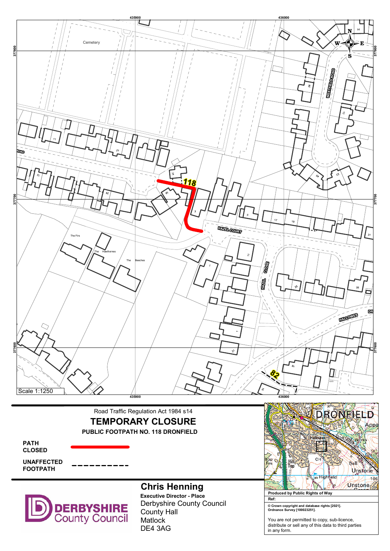

# Road Traffic Regulation Act 1984 s14 TEMPORARY CLOSURE PUBLIC FOOTPATH NO. 118 DRONFIELD

PATH CLOSED

UNAFFECTED FOOTPATH



# Chris Henning

Derbyshire County Council County Hall **Matlock** DE4 3AG Executive Director - Place



© Crown copyright and database rights [2021]. Ordnance Survey [100023251].

You are not permitted to copy, sub-licence, distribute or sell any of this data to third parties in any form.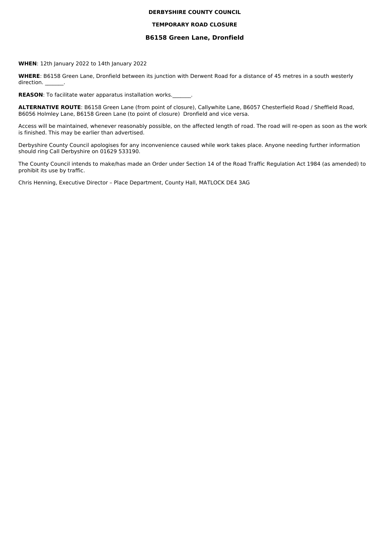#### **DERBYSHIRE COUNTY COUNCIL**

#### **TEMPORARY ROAD CLOSURE**

#### **B6158 Green Lane, Dronfield**

**WHEN**: 12th January 2022 to 14th January 2022

WHERE: B6158 Green Lane, Dronfield between its junction with Derwent Road for a distance of 45 metres in a south westerly direction.

**REASON:** To facilitate water apparatus installation works.

ALTERNATIVE ROUTE: B6158 Green Lane (from point of closure), Callywhite Lane, B6057 Chesterfield Road / Sheffield Road, B6056 Holmley Lane, B6158 Green Lane (to point of closure) Dronfield and vice versa.

Access will be maintained, whenever reasonably possible, on the affected length of road. The road will re-open as soon as the work is finished. This may be earlier than advertised.

Derbyshire County Council apologises for any inconvenience caused while work takes place. Anyone needing further information should ring Call Derbyshire on 01629 533190.

The County Council intends to make/has made an Order under Section 14 of the Road Traffic Regulation Act 1984 (as amended) to prohibit its use by traffic.

Chris Henning, Executive Director - Place Department, County Hall, MATLOCK DE4 3AG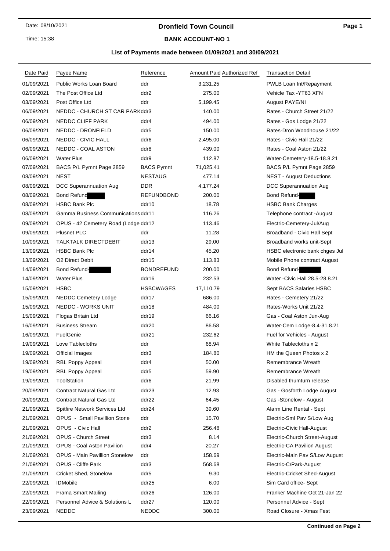Time: 15:38

# **Dronfield Town Council**

#### **BANK ACCOUNT-NO 1**

#### **List of Payments made between 01/09/2021 and 30/09/2021**

| Date Paid  | Payee Name                            | Reference         | Amount Paid Authorized Ref | <b>Transaction Detail</b>         |
|------------|---------------------------------------|-------------------|----------------------------|-----------------------------------|
| 01/09/2021 | <b>Public Works Loan Board</b>        | ddr               | 3,231.25                   | PWLB Loan Int/Repayment           |
| 02/09/2021 | The Post Office Ltd                   | ddr2              | 275.00                     | Vehicle Tax - YT63 XFN            |
| 03/09/2021 | Post Office Ltd                       | ddr               | 5,199.45                   | August PAYE/NI                    |
| 06/09/2021 | NEDDC - CHURCH ST CAR PARKddr3        |                   | 140.00                     | Rates - Church Street 21/22       |
| 06/09/2021 | NEDDC CLIFF PARK                      | ddr4              | 494.00                     | Rates - Gos Lodge 21/22           |
| 06/09/2021 | NEDDC - DRONFIELD                     | ddr5              | 150.00                     | Rates-Dron Woodhouse 21/22        |
| 06/09/2021 | NEDDC - CIVIC HALL                    | ddr <sub>6</sub>  | 2,495.00                   | Rates - Civic Hall 21/22          |
| 06/09/2021 | <b>NEDDC - COAL ASTON</b>             | ddr8              | 439.00                     | Rates - Coal Aston 21/22          |
| 06/09/2021 | <b>Water Plus</b>                     | ddr9              | 112.87                     | Water-Cemetery-18.5-18.8.21       |
| 07/09/2021 | BACS P/L Pymnt Page 2859              | <b>BACS Pymnt</b> | 71,025.41                  | BACS P/L Pymnt Page 2859          |
| 08/09/2021 | <b>NEST</b>                           | <b>NESTAUG</b>    | 477.14                     | <b>NEST - August Deductions</b>   |
| 08/09/2021 | DCC Superannuation Aug                | <b>DDR</b>        | 4,177.24                   | DCC Superannuation Aug            |
| 08/09/2021 | <b>Bond Refund</b>                    | REFUNDBOND        | 200.00                     | Bond Refund-                      |
| 08/09/2021 | <b>HSBC Bank Plc</b>                  | ddr10             | 18.78                      | <b>HSBC Bank Charges</b>          |
| 08/09/2021 | Gamma Business Communications ddr11   |                   | 116.26                     | Telephone contract -August        |
| 09/09/2021 | OPUS - 42 Cemetery Road (Lodge ddr12  |                   | 113.46                     | Electric-Cemetery-Jul/Aug         |
| 09/09/2021 | <b>Plusnet PLC</b>                    | ddr               | 11.28                      | Broadband - Civic Hall Sept       |
| 10/09/2021 | TALKTALK DIRECTDEBIT                  | ddr13             | 29.00                      | Broadband works unit-Sept         |
| 13/09/2021 | <b>HSBC Bank Plc</b>                  | ddr14             | 45.20                      | HSBC electronic bank chges Jul    |
| 13/09/2021 | O <sub>2</sub> Direct Debit           | ddr15             | 113.83                     | Mobile Phone contract August      |
| 14/09/2021 | Bond Refund-                          | <b>BONDREFUND</b> | 200.00                     | Bond Refund-                      |
| 14/09/2021 | <b>Water Plus</b>                     | ddr16             | 232.53                     | Water - Civic Hall 28.5-28.8.21   |
| 15/09/2021 | <b>HSBC</b>                           | <b>HSBCWAGES</b>  | 17,110.79                  | Sept BACS Salaries HSBC           |
| 15/09/2021 | NEDDC Cemetery Lodge                  | ddr17             | 686.00                     | Rates - Cemetery 21/22            |
| 15/09/2021 | NEDDC - WORKS UNIT                    | ddr18             | 484.00                     | Rates-Works Unit 21/22            |
| 15/09/2021 | Flogas Britain Ltd                    | ddr19             | 66.16                      | Gas - Coal Aston Jun-Aug          |
| 16/09/2021 | <b>Business Stream</b>                | ddr20             | 86.58                      | Water-Cem Lodge-8.4-31.8.21       |
| 16/09/2021 | FuelGenie                             | ddr21             | 232.62                     | Fuel for Vehicles - August        |
| 19/09/2021 | Love Tablecloths                      | ddr               | 68.94                      | White Tablecloths x 2             |
| 19/09/2021 | <b>Official Images</b>                | ddr3              | 184.80                     | HM the Queen Photos x 2           |
| 19/09/2021 | RBL Poppy Appeal                      | ddr4              | 50.00                      | Remembrance Wreath                |
| 19/09/2021 | RBL Poppy Appeal                      | ddr5              | 59.90                      | Remembrance Wreath                |
| 19/09/2021 | ToolStation                           | ddr6              | 21.99                      | Disabled thumturn release         |
| 20/09/2021 | <b>Contract Natural Gas Ltd</b>       | ddr23             | 12.93                      | Gas - Gosforth Lodge August       |
| 20/09/2021 | <b>Contract Natural Gas Ltd</b>       | ddr22             | 64.45                      | Gas - Stonelow - August           |
| 21/09/2021 | Spitfire Network Services Ltd         | ddr24             | 39.60                      | Alarm Line Rental - Sept          |
| 21/09/2021 | OPUS - Small Pavillion Stone          | ddr               | 15.70                      | Electric-Sml Pav S/Low Aug        |
| 21/09/2021 | <b>OPUS</b> - Civic Hall              | ddr2              | 256.48                     | <b>Electric-Civic Hall-August</b> |
| 21/09/2021 | <b>OPUS - Church Street</b>           | ddr3              | 8.14                       | Electric-Church Street-August     |
| 21/09/2021 | <b>OPUS - Coal Aston Pavilion</b>     | ddr4              | 20.27                      | Electric-CA Pavilion August       |
| 21/09/2021 | <b>OPUS - Main Pavillion Stonelow</b> | ddr               | 158.69                     | Electric-Main Pav S/Low August    |
| 21/09/2021 | OPUS - Cliffe Park                    | ddr3              | 568.68                     | Electric-C/Park-August            |
| 21/09/2021 | Cricket Shed, Stonelow                | ddr5              | 9.30                       | Electric-Cricket Shed-August      |
| 22/09/2021 | <b>IDMobile</b>                       | ddr25             | 6.00                       | Sim Card office-Sept              |
| 22/09/2021 | Frama Smart Mailing                   | ddr26             | 126.00                     | Franker Machine Oct 21-Jan 22     |
| 22/09/2021 | Personnel Advice & Solutions L        | ddr27             | 120.00                     | Personnel Advice - Sept           |
| 23/09/2021 | <b>NEDDC</b>                          | <b>NEDDC</b>      | 300.00                     | Road Closure - Xmas Fest          |
|            |                                       |                   |                            |                                   |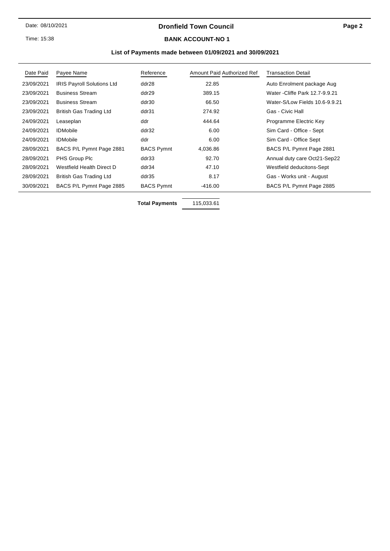#### **Dronfield Town Council**

Time: 15:38

#### **BANK ACCOUNT-NO 1**

#### **List of Payments made between 01/09/2021 and 30/09/2021**

| Date Paid  | Payee Name                        | Reference         | Amount Paid Authorized Ref | <b>Transaction Detail</b>       |
|------------|-----------------------------------|-------------------|----------------------------|---------------------------------|
| 23/09/2021 | <b>IRIS Payroll Solutions Ltd</b> | ddr28             | 22.85                      | Auto Enrolment package Aug      |
| 23/09/2021 | <b>Business Stream</b>            | ddr29             | 389.15                     | Water - Cliffe Park 12.7-9.9.21 |
| 23/09/2021 | <b>Business Stream</b>            | ddr30             | 66.50                      | Water-S/Low Fields 10.6-9.9.21  |
| 23/09/2021 | British Gas Trading Ltd           | ddr31             | 274.92                     | Gas - Civic Hall                |
| 24/09/2021 | Leaseplan                         | ddr               | 444.64                     | Programme Electric Key          |
| 24/09/2021 | <b>IDMobile</b>                   | ddr32             | 6.00                       | Sim Card - Office - Sept        |
| 24/09/2021 | <b>IDMobile</b>                   | ddr               | 6.00                       | Sim Card - Office Sept          |
| 28/09/2021 | BACS P/L Pymnt Page 2881          | <b>BACS Pymnt</b> | 4,036.86                   | BACS P/L Pymnt Page 2881        |
| 28/09/2021 | PHS Group Plc                     | ddr33             | 92.70                      | Annual duty care Oct21-Sep22    |
| 28/09/2021 | Westfield Health Direct D         | ddr34             | 47.10                      | Westfield deducitons-Sept       |
| 28/09/2021 | British Gas Trading Ltd           | ddr35             | 8.17                       | Gas - Works unit - August       |
| 30/09/2021 | BACS P/L Pymnt Page 2885          | <b>BACS Pymnt</b> | $-416.00$                  | BACS P/L Pymnt Page 2885        |

**Total Payments** 115,033.61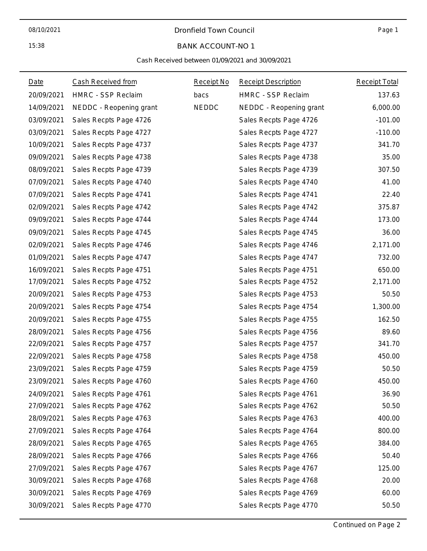#### Dronfield Town Council

Page 1

#### BANK ACCOUNT-NO 1

#### Cash Received between 01/09/2021 and 30/09/2021

| Date       | Cash Received from      | Receipt No   | <b>Receipt Description</b> | <b>Receipt Total</b> |
|------------|-------------------------|--------------|----------------------------|----------------------|
| 20/09/2021 | HMRC - SSP Reclaim      | bacs         | HMRC - SSP Reclaim         | 137.63               |
| 14/09/2021 | NEDDC - Reopening grant | <b>NEDDC</b> | NEDDC - Reopening grant    | 6,000.00             |
| 03/09/2021 | Sales Recpts Page 4726  |              | Sales Recpts Page 4726     | $-101.00$            |
| 03/09/2021 | Sales Recpts Page 4727  |              | Sales Recpts Page 4727     | $-110.00$            |
| 10/09/2021 | Sales Recpts Page 4737  |              | Sales Recpts Page 4737     | 341.70               |
| 09/09/2021 | Sales Recpts Page 4738  |              | Sales Recpts Page 4738     | 35.00                |
| 08/09/2021 | Sales Recpts Page 4739  |              | Sales Recpts Page 4739     | 307.50               |
| 07/09/2021 | Sales Recpts Page 4740  |              | Sales Recpts Page 4740     | 41.00                |
| 07/09/2021 | Sales Recpts Page 4741  |              | Sales Recpts Page 4741     | 22.40                |
| 02/09/2021 | Sales Recpts Page 4742  |              | Sales Recpts Page 4742     | 375.87               |
| 09/09/2021 | Sales Recpts Page 4744  |              | Sales Recpts Page 4744     | 173.00               |
| 09/09/2021 | Sales Recpts Page 4745  |              | Sales Recpts Page 4745     | 36.00                |
| 02/09/2021 | Sales Recpts Page 4746  |              | Sales Recpts Page 4746     | 2,171.00             |
| 01/09/2021 | Sales Recpts Page 4747  |              | Sales Recpts Page 4747     | 732.00               |
| 16/09/2021 | Sales Recpts Page 4751  |              | Sales Recpts Page 4751     | 650.00               |
| 17/09/2021 | Sales Recpts Page 4752  |              | Sales Recpts Page 4752     | 2,171.00             |
| 20/09/2021 | Sales Recpts Page 4753  |              | Sales Recpts Page 4753     | 50.50                |
| 20/09/2021 | Sales Recpts Page 4754  |              | Sales Recpts Page 4754     | 1,300.00             |
| 20/09/2021 | Sales Recpts Page 4755  |              | Sales Recpts Page 4755     | 162.50               |
| 28/09/2021 | Sales Recpts Page 4756  |              | Sales Recpts Page 4756     | 89.60                |
| 22/09/2021 | Sales Recpts Page 4757  |              | Sales Recpts Page 4757     | 341.70               |
| 22/09/2021 | Sales Recpts Page 4758  |              | Sales Recpts Page 4758     | 450.00               |
| 23/09/2021 | Sales Recpts Page 4759  |              | Sales Recpts Page 4759     | 50.50                |
| 23/09/2021 | Sales Recpts Page 4760  |              | Sales Recpts Page 4760     | 450.00               |
| 24/09/2021 | Sales Recpts Page 4761  |              | Sales Recpts Page 4761     | 36.90                |
| 27/09/2021 | Sales Recpts Page 4762  |              | Sales Recpts Page 4762     | 50.50                |
| 28/09/2021 | Sales Recpts Page 4763  |              | Sales Recpts Page 4763     | 400.00               |
| 27/09/2021 | Sales Recpts Page 4764  |              | Sales Recpts Page 4764     | 800.00               |
| 28/09/2021 | Sales Recpts Page 4765  |              | Sales Recpts Page 4765     | 384.00               |
| 28/09/2021 | Sales Recpts Page 4766  |              | Sales Recpts Page 4766     | 50.40                |
| 27/09/2021 | Sales Recpts Page 4767  |              | Sales Recpts Page 4767     | 125.00               |
| 30/09/2021 | Sales Recpts Page 4768  |              | Sales Recpts Page 4768     | 20.00                |
| 30/09/2021 | Sales Recpts Page 4769  |              | Sales Recpts Page 4769     | 60.00                |
| 30/09/2021 | Sales Recpts Page 4770  |              | Sales Recpts Page 4770     | 50.50                |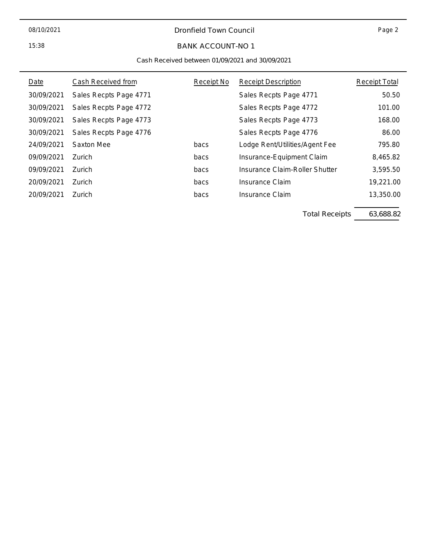#### 08/10/2021

15:38

#### Dronfield Town Council

Page 2

### BANK ACCOUNT-NO 1

#### Cash Received between 01/09/2021 and 30/09/2021

| Date       | Cash Received from     | Receipt No | <b>Receipt Description</b>     | Receipt Total |
|------------|------------------------|------------|--------------------------------|---------------|
| 30/09/2021 | Sales Recpts Page 4771 |            | Sales Recpts Page 4771         | 50.50         |
| 30/09/2021 | Sales Recpts Page 4772 |            | Sales Recpts Page 4772         | 101.00        |
| 30/09/2021 | Sales Recpts Page 4773 |            | Sales Recpts Page 4773         | 168.00        |
| 30/09/2021 | Sales Recpts Page 4776 |            | Sales Recpts Page 4776         | 86.00         |
| 24/09/2021 | Saxton Mee             | bacs       | Lodge Rent/Utilities/Agent Fee | 795.80        |
| 09/09/2021 | Zurich                 | bacs       | Insurance-Equipment Claim      | 8,465.82      |
| 09/09/2021 | <b>Zurich</b>          | bacs       | Insurance Claim-Roller Shutter | 3,595.50      |
| 20/09/2021 | Zurich                 | bacs       | Insurance Claim                | 19,221.00     |
| 20/09/2021 | Zurich                 | bacs       | Insurance Claim                | 13,350.00     |

Total Receipts 63,688.82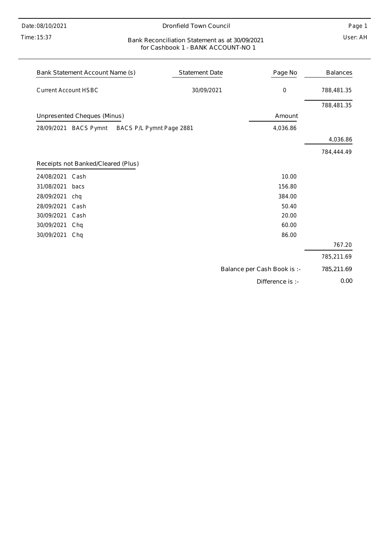Date: 08/10/2021

#### Time: 15:37

#### Dronfield Town Council

Page 1

#### User: AH Bank Reconciliation Statement as at 30/09/2021 for Cashbook 1 - BANK ACCOUNT-NO 1

| Bank Statement Account Name (s)                             | <b>Statement Date</b> | Page No                     | <b>Balances</b> |
|-------------------------------------------------------------|-----------------------|-----------------------------|-----------------|
| <b>Current Account HSBC</b>                                 | 30/09/2021            | $\boldsymbol{0}$            | 788,481.35      |
|                                                             |                       |                             | 788,481.35      |
| Unpresented Cheques (Minus)                                 |                       | Amount                      |                 |
| 28/09/2021<br><b>BACS Pymnt</b><br>BACS P/L Pymnt Page 2881 |                       | 4,036.86                    |                 |
|                                                             |                       |                             | 4,036.86        |
|                                                             |                       |                             | 784,444.49      |
| Receipts not Banked/Cleared (Plus)                          |                       |                             |                 |
| 24/08/2021<br>Cash                                          |                       | 10.00                       |                 |
| 31/08/2021<br>bacs                                          |                       | 156.80                      |                 |
| 28/09/2021<br>chq                                           |                       | 384.00                      |                 |
| 28/09/2021<br>Cash                                          |                       | 50.40                       |                 |
| 30/09/2021<br>Cash                                          |                       | 20.00                       |                 |
| 30/09/2021<br>Chq                                           |                       | 60.00                       |                 |
| 30/09/2021<br>Chq                                           |                       | 86.00                       |                 |
|                                                             |                       |                             | 767.20          |
|                                                             |                       |                             | 785,211.69      |
|                                                             |                       | Balance per Cash Book is :- | 785,211.69      |
|                                                             |                       | Difference is :-            | 0.00            |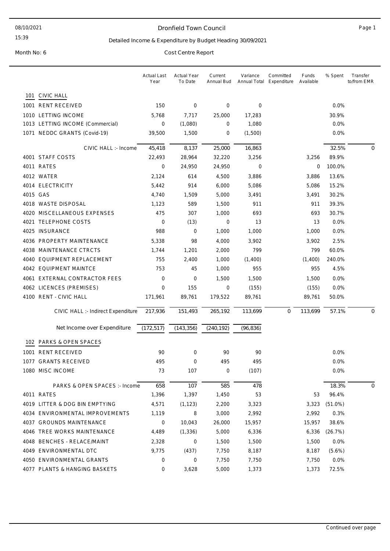#### Dronfield Town Council and the contract of the Page 1

15:39

#### Detailed Income & Expenditure by Budget Heading 30/09/2021

|     |                                    | <b>Actual Last</b><br>Year | <b>Actual Year</b><br>To Date | Current<br>Annual Bud | Variance<br>Annual Total | Committed<br>Expenditure | Funds<br>Available | % Spent    | Transfer<br>to/from EMR |
|-----|------------------------------------|----------------------------|-------------------------------|-----------------------|--------------------------|--------------------------|--------------------|------------|-------------------------|
| 101 | <b>CIVIC HALL</b>                  |                            |                               |                       |                          |                          |                    |            |                         |
|     | 1001 RENT RECEIVED                 | 150                        | 0                             | 0                     | 0                        |                          |                    | 0.0%       |                         |
|     | 1010 LETTING INCOME                | 5,768                      | 7,717                         | 25,000                | 17,283                   |                          |                    | 30.9%      |                         |
|     | 1013 LETTING INCOME (Commercial)   | 0                          | (1,080)                       | $\mathbf 0$           | 1,080                    |                          |                    | 0.0%       |                         |
|     | 1071 NEDDC GRANTS (Covid-19)       | 39,500                     | 1,500                         | 0                     | (1,500)                  |                          |                    | 0.0%       |                         |
|     | CIVIC HALL :- Income               | 45,418                     | 8,137                         | 25,000                | 16,863                   |                          |                    | 32.5%      | $\mathbf 0$             |
|     | 4001 STAFF COSTS                   | 22,493                     | 28,964                        | 32,220                | 3,256                    |                          | 3,256              | 89.9%      |                         |
|     | 4011 RATES                         | 0                          | 24,950                        | 24,950                | 0                        |                          | 0                  | 100.0%     |                         |
|     | 4012 WATER                         | 2,124                      | 614                           | 4,500                 | 3,886                    |                          | 3,886              | 13.6%      |                         |
|     | 4014 ELECTRICITY                   | 5,442                      | 914                           | 6,000                 | 5,086                    |                          | 5,086              | 15.2%      |                         |
|     | 4015 GAS                           | 4,740                      | 1,509                         | 5,000                 | 3,491                    |                          | 3,491              | 30.2%      |                         |
|     | 4018 WASTE DISPOSAL                | 1,123                      | 589                           | 1,500                 | 911                      |                          | 911                | 39.3%      |                         |
|     | 4020 MISCELLANEOUS EXPENSES        | 475                        | 307                           | 1,000                 | 693                      |                          | 693                | 30.7%      |                         |
|     | 4021 TELEPHONE COSTS               | 0                          | (13)                          | 0                     | 13                       |                          | 13                 | 0.0%       |                         |
|     | 4025 INSURANCE                     | 988                        | 0                             | 1,000                 | 1,000                    |                          | 1,000              | 0.0%       |                         |
|     | 4036 PROPERTY MAINTENANCE          | 5,338                      | 98                            | 4,000                 | 3,902                    |                          | 3,902              | 2.5%       |                         |
|     | 4038 MAINTENANCE CTRCTS            | 1,744                      | 1,201                         | 2,000                 | 799                      |                          | 799                | 60.0%      |                         |
|     | 4040 EQUIPMENT REPLACEMENT         | 755                        | 2,400                         | 1,000                 | (1,400)                  |                          | (1,400)            | 240.0%     |                         |
|     | 4042 EQUIPMENT MAINTCE             | 753                        | 45                            | 1,000                 | 955                      |                          | 955                | 4.5%       |                         |
|     | 4061 EXTERNAL CONTRACTOR FEES      | 0                          | 0                             | 1,500                 | 1,500                    |                          | 1,500              | 0.0%       |                         |
|     | 4062 LICENCES (PREMISES)           | 0                          | 155                           | 0                     | (155)                    |                          | (155)              | 0.0%       |                         |
|     | 4100 RENT - CIVIC HALL             | 171,961                    | 89,761                        | 179,522               | 89,761                   |                          | 89,761             | 50.0%      |                         |
|     | CIVIC HALL :- Indirect Expenditure | 217,936                    | 151,493                       | 265,192               | 113,699                  | $\mathbf 0$              | 113,699            | 57.1%      | $\mathbf 0$             |
|     | Net Income over Expenditure        | (172, 517)                 | (143, 356)                    | (240, 192)            | (96, 836)                |                          |                    |            |                         |
|     | 102 PARKS & OPEN SPACES            |                            |                               |                       |                          |                          |                    |            |                         |
|     | 1001 RENT RECEIVED                 | 90                         | $\mathbf 0$                   | 90                    | 90                       |                          |                    | $0.0\%$    |                         |
|     | 1077 GRANTS RECEIVED               | 495                        | 0                             | 495                   | 495                      |                          |                    | 0.0%       |                         |
|     | 1080 MISC INCOME                   | 73                         | 107                           | 0                     | (107)                    |                          |                    | 0.0%       |                         |
|     | PARKS & OPEN SPACES :- Income      | 658                        | 107                           | 585                   | 478                      |                          |                    | 18.3%      | 0                       |
|     | 4011 RATES                         | 1,396                      | 1,397                         | 1,450                 | 53                       |                          | 53                 | 96.4%      |                         |
|     | 4019 LITTER & DOG BIN EMPTYING     | 4,571                      | (1, 123)                      | 2,200                 | 3,323                    |                          | 3,323              | $(51.0\%)$ |                         |
|     | 4034 ENVIRONMENTAL IMPROVEMENTS    | 1,119                      | 8                             | 3,000                 | 2,992                    |                          | 2,992              | 0.3%       |                         |
|     | 4037 GROUNDS MAINTENANCE           | 0                          | 10,043                        | 26,000                | 15,957                   |                          | 15,957             | 38.6%      |                         |
|     | 4046 TREE WORKS MAINTENANCE        | 4,489                      | (1, 336)                      | 5,000                 | 6,336                    |                          | 6,336              | (26.7%)    |                         |
|     | 4048 BENCHES - RELACE/MAINT        | 2,328                      | 0                             | 1,500                 | 1,500                    |                          | 1,500              | 0.0%       |                         |
|     | 4049 ENVIRONMENTAL DTC             | 9,775                      | (437)                         | 7,750                 | 8,187                    |                          | 8,187              | (5.6%)     |                         |
|     | 4050 ENVIRONMENTAL GRANTS          | 0                          | 0                             | 7,750                 | 7,750                    |                          | 7,750              | 0.0%       |                         |
|     | 4077 PLANTS & HANGING BASKETS      | 0                          | 3,628                         | 5,000                 | 1,373                    |                          | 1,373              | 72.5%      |                         |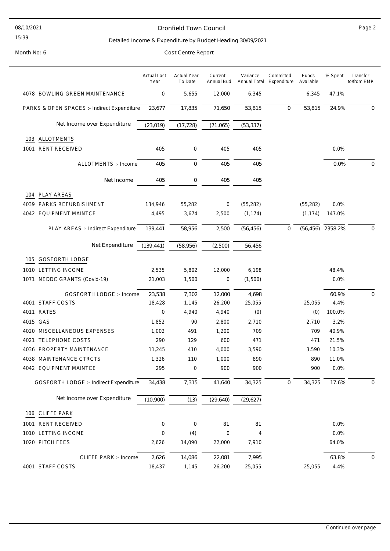#### 08/10/2021

#### 15:39

#### Dronfield Town Council **Page 2**

#### Detailed Income & Expenditure by Budget Heading 30/09/2021

|      |                                             | <b>Actual Last</b><br>Year | <b>Actual Year</b><br>To Date | Current<br>Annual Bud | Variance<br>Annual Total | Committed<br>Expenditure | Funds<br>Available | % Spent          | Transfer<br>to/from EMR |
|------|---------------------------------------------|----------------------------|-------------------------------|-----------------------|--------------------------|--------------------------|--------------------|------------------|-------------------------|
|      | 4078 BOWLING GREEN MAINTENANCE              | 0                          | 5,655                         | 12,000                | 6,345                    |                          | 6,345              | 47.1%            |                         |
|      | PARKS & OPEN SPACES :- Indirect Expenditure | 23,677                     | 17,835                        | 71,650                | 53,815                   | $\mathbf 0$              | 53,815             | 24.9%            | 0                       |
|      | Net Income over Expenditure                 | (23, 019)                  | (17, 728)                     | (71,065)              | (53, 337)                |                          |                    |                  |                         |
|      | 103 ALLOTMENTS                              |                            |                               |                       |                          |                          |                    |                  |                         |
|      | 1001 RENT RECEIVED                          | 405                        | 0                             | 405                   | 405                      |                          |                    | 0.0%             |                         |
|      |                                             |                            |                               |                       |                          |                          |                    |                  |                         |
|      | ALLOTMENTS :- Income                        | 405                        | $\mathbf 0$                   | 405                   | 405                      |                          |                    | 0.0%             | 0                       |
|      | Net Income                                  | 405                        | $\mathsf{O}\xspace$           | 405                   | 405                      |                          |                    |                  |                         |
|      | 104 PLAY AREAS                              |                            |                               |                       |                          |                          |                    |                  |                         |
|      | 4039 PARKS REFURBISHMENT                    | 134,946                    | 55,282                        | 0                     | (55, 282)                |                          | (55, 282)          | 0.0%             |                         |
|      | 4042 EQUIPMENT MAINTCE                      | 4,495                      | 3,674                         | 2,500                 | (1, 174)                 |                          | (1, 174)           | 147.0%           |                         |
|      | PLAY AREAS :- Indirect Expenditure          | 139,441                    | 58,956                        | 2,500                 | (56, 456)                | $\mathbf 0$              |                    | (56,456) 2358.2% | 0                       |
|      | Net Expenditure                             | (139, 441)                 | (58, 956)                     | (2,500)               | 56,456                   |                          |                    |                  |                         |
|      |                                             |                            |                               |                       |                          |                          |                    |                  |                         |
| 105  | GOSFORTH LODGE                              |                            |                               |                       |                          |                          |                    |                  |                         |
|      | 1010 LETTING INCOME                         | 2,535                      | 5,802                         | 12,000                | 6,198                    |                          |                    | 48.4%            |                         |
|      | 1071 NEDDC GRANTS (Covid-19)                | 21,003                     | 1,500                         | 0                     | (1,500)                  |                          |                    | 0.0%             |                         |
|      | <b>GOSFORTH LODGE :- Income</b>             | 23,538                     | 7,302                         | 12,000                | 4,698                    |                          |                    | 60.9%            | 0                       |
|      | 4001 STAFF COSTS                            | 18,428                     | 1,145                         | 26,200                | 25,055                   |                          | 25,055             | 4.4%             |                         |
|      | 4011 RATES                                  | 0                          | 4,940                         | 4,940                 | (0)                      |                          | (0)                | 100.0%           |                         |
|      | 4015 GAS                                    | 1,852                      | 90                            | 2,800                 | 2,710                    |                          | 2,710              | 3.2%             |                         |
|      | 4020 MISCELLANEOUS EXPENSES                 | 1,002                      | 491                           | 1,200                 | 709                      |                          | 709                | 40.9%            |                         |
| 4021 | TELEPHONE COSTS                             | 290                        | 129                           | 600                   | 471                      |                          | 471                | 21.5%            |                         |
|      | 4036 PROPERTY MAINTENANCE                   | 11,245                     | 410                           | 4,000                 | 3,590                    |                          | 3,590              | 10.3%            |                         |
|      | 4038 MAINTENANCE CTRCTS                     | 1,326                      | 110                           | 1,000                 | 890                      |                          | 890                | 11.0%            |                         |
|      | 4042 EQUIPMENT MAINTCE                      | 295                        | $\boldsymbol{0}$              | 900                   | 900                      |                          | 900                | 0.0%             |                         |
|      | GOSFORTH LODGE :- Indirect Expenditure      | 34,438                     | 7,315                         | 41,640                | 34,325                   | $\mathbf 0$              | 34,325             | 17.6%            | $\mathbf 0$             |
|      | Net Income over Expenditure                 | (10,900)                   | (13)                          | (29, 640)             | (29, 627)                |                          |                    |                  |                         |
|      | 106 CLIFFE PARK                             |                            |                               |                       |                          |                          |                    |                  |                         |
|      | 1001 RENT RECEIVED                          | $\boldsymbol{0}$           | $\mathbf 0$                   | 81                    | 81                       |                          |                    | 0.0%             |                         |
|      | 1010 LETTING INCOME                         | $\boldsymbol{0}$           | (4)                           | 0                     | 4                        |                          |                    | 0.0%             |                         |
|      | 1020 PITCH FEES                             | 2,626                      | 14,090                        | 22,000                | 7,910                    |                          |                    | 64.0%            |                         |
|      | <b>CLIFFE PARK :- Income</b>                | 2,626                      | 14,086                        | 22,081                | 7,995                    |                          |                    | 63.8%            | 0                       |
|      | 4001 STAFF COSTS                            | 18,437                     | 1,145                         | 26,200                | 25,055                   |                          | 25,055             | 4.4%             |                         |
|      |                                             |                            |                               |                       |                          |                          |                    |                  |                         |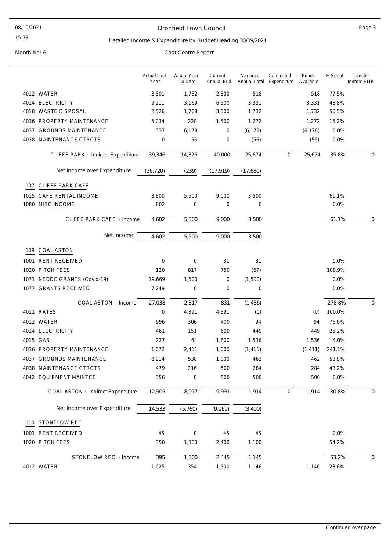#### Dronfield Town Council **Page 3**

#### Detailed Income & Expenditure by Budget Heading 30/09/2021

|          |                                     | <b>Actual Last</b><br>Year | <b>Actual Year</b><br>To Date | Current<br>Annual Bud | Variance<br>Annual Total | Committed<br>Expenditure | Funds<br>Available | % Spent | Transfer<br>to/from EMR |
|----------|-------------------------------------|----------------------------|-------------------------------|-----------------------|--------------------------|--------------------------|--------------------|---------|-------------------------|
|          | 4012 WATER                          | 3,801                      | 1,782                         | 2,300                 | 518                      |                          | 518                | 77.5%   |                         |
|          | 4014 ELECTRICITY                    | 9,211                      | 3,169                         | 6,500                 | 3,331                    |                          | 3,331              | 48.8%   |                         |
|          | 4018 WASTE DISPOSAL                 | 2,526                      | 1,768                         | 3,500                 | 1,732                    |                          | 1,732              | 50.5%   |                         |
|          | 4036 PROPERTY MAINTENANCE           | 5,034                      | 228                           | 1,500                 | 1,272                    |                          | 1,272              | 15.2%   |                         |
|          | 4037 GROUNDS MAINTENANCE            | 337                        | 6,178                         | 0                     | (6, 178)                 |                          | (6, 178)           | 0.0%    |                         |
| 4038     | MAINTENANCE CTRCTS                  | $\mathbf 0$                | 56                            | 0                     | (56)                     |                          | (56)               | 0.0%    |                         |
|          | CLIFFE PARK :- Indirect Expenditure | 39,346                     | 14,326                        | 40,000                | 25,674                   | 0                        | 25,674             | 35.8%   | 0                       |
|          | Net Income over Expenditure         | (36, 720)                  | (239)                         | (17, 919)             | (17,680)                 |                          |                    |         |                         |
| 107      | CLIFFE PARK CAFE                    |                            |                               |                       |                          |                          |                    |         |                         |
| 1015     | CAFE RENTAL INCOME                  | 3,800                      | 5,500                         | 9,000                 | 3,500                    |                          |                    | 61.1%   |                         |
|          | 1080 MISC INCOME                    | 802                        | 0                             | 0                     | 0                        |                          |                    | 0.0%    |                         |
|          | <b>CLIFFE PARK CAFE: - Income</b>   | 4,602                      | 5,500                         | 9,000                 | 3,500                    |                          |                    | 61.1%   | $\mathbf 0$             |
|          | Net Income                          | 4,602                      | 5,500                         | 9,000                 | 3,500                    |                          |                    |         |                         |
| 109      | COAL ASTON                          |                            |                               |                       |                          |                          |                    |         |                         |
| 1001     | RENT RECEIVED                       | $\mathbf 0$                | $\mathbf 0$                   | 81                    | 81                       |                          |                    | 0.0%    |                         |
|          | 1020 PITCH FEES                     | 120                        | 817                           | 750                   | (67)                     |                          |                    | 108.9%  |                         |
|          | 1071 NEDDC GRANTS (Covid-19)        | 19,669                     | 1,500                         | 0                     | (1,500)                  |                          |                    | 0.0%    |                         |
|          | 1077 GRANTS RECEIVED                | 7,249                      | $\mathbf 0$                   | 0                     | 0                        |                          |                    | 0.0%    |                         |
|          | COAL ASTON :- Income                | 27,038                     | 2,317                         | 831                   | (1,486)                  |                          |                    | 278.8%  | $\mathbf 0$             |
|          | 4011 RATES                          | $\mathbf 0$                | 4,391                         | 4,391                 | (0)                      |                          | (0)                | 100.0%  |                         |
|          | 4012 WATER                          | 996                        | 306                           | 400                   | 94                       |                          | 94                 | 76.6%   |                         |
|          | 4014 ELECTRICITY                    | 461                        | 151                           | 600                   | 449                      |                          | 449                | 25.2%   |                         |
| 4015 GAS |                                     | 227                        | 64                            | 1,600                 | 1,536                    |                          | 1,536              | 4.0%    |                         |
|          | 4036 PROPERTY MAINTENANCE           | 1,072                      | 2,411                         | 1,000                 | (1, 411)                 |                          | (1, 411)           | 241.1%  |                         |
|          | 4037 GROUNDS MAINTENANCE            | 8,914                      | 538                           | 1,000                 | 462                      |                          | 462                | 53.8%   |                         |
|          | 4038 MAINTENANCE CTRCTS             | 479                        | 216                           | 500                   | 284                      |                          | 284                | 43.2%   |                         |
|          | 4042 EQUIPMENT MAINTCE              | 356                        | 0                             | 500                   | 500                      |                          | 500                | 0.0%    |                         |
|          | COAL ASTON :- Indirect Expenditure  | 12,505                     | 8,077                         | 9,991                 | 1,914                    | $\mathbf 0$              | 1,914              | 80.8%   | 0                       |
|          | Net Income over Expenditure         | 14,533                     | (5,760)                       | (9, 160)              | (3,400)                  |                          |                    |         |                         |
|          | 110 STONELOW REC                    |                            |                               |                       |                          |                          |                    |         |                         |
|          | 1001 RENT RECEIVED                  | 45                         | $\mathbf 0$                   | 45                    | 45                       |                          |                    | 0.0%    |                         |
|          | 1020 PITCH FEES                     | 350                        | 1,300                         | 2,400                 | 1,100                    |                          |                    | 54.2%   |                         |
|          | STONELOW REC :- Income              | 395                        | 1,300                         | 2,445                 | 1,145                    |                          |                    | 53.2%   | 0                       |
|          | 4012 WATER                          | 1,025                      | 354                           | 1,500                 | 1,146                    |                          | 1,146              | 23.6%   |                         |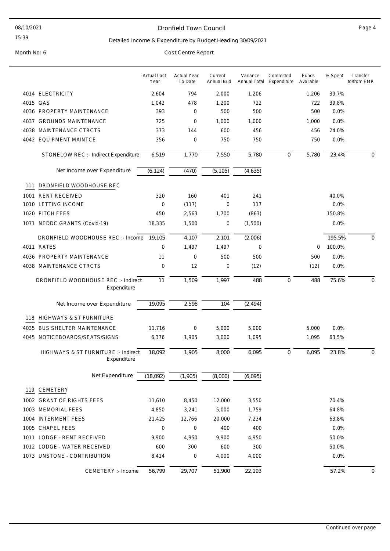#### Dronfield Town Council **Page 4**

#### Detailed Income & Expenditure by Budget Heading 30/09/2021

|      |                                                    | <b>Actual Last</b><br>Year | <b>Actual Year</b><br>To Date | Current<br>Annual Bud | Variance<br>Annual Total | Committed<br>Expenditure | Funds<br>Available | % Spent | Transfer<br>to/from EMR |
|------|----------------------------------------------------|----------------------------|-------------------------------|-----------------------|--------------------------|--------------------------|--------------------|---------|-------------------------|
|      | 4014 ELECTRICITY                                   | 2,604                      | 794                           | 2,000                 | 1,206                    |                          | 1,206              | 39.7%   |                         |
|      | 4015 GAS                                           | 1,042                      | 478                           | 1,200                 | 722                      |                          | 722                | 39.8%   |                         |
|      | 4036 PROPERTY MAINTENANCE                          | 393                        | 0                             | 500                   | 500                      |                          | 500                | 0.0%    |                         |
| 4037 | <b>GROUNDS MAINTENANCE</b>                         | 725                        | 0                             | 1,000                 | 1,000                    |                          | 1,000              | 0.0%    |                         |
| 4038 | MAINTENANCE CTRCTS                                 | 373                        | 144                           | 600                   | 456                      |                          | 456                | 24.0%   |                         |
|      | 4042 EQUIPMENT MAINTCE                             | 356                        | 0                             | 750                   | 750                      |                          | 750                | 0.0%    |                         |
|      | STONELOW REC :- Indirect Expenditure               | 6,519                      | 1,770                         | 7,550                 | 5,780                    | 0                        | 5,780              | 23.4%   | 0                       |
|      | Net Income over Expenditure                        | (6, 124)                   | (470)                         | (5, 105)              | (4,635)                  |                          |                    |         |                         |
| 111  | DRONFIELD WOODHOUSE REC                            |                            |                               |                       |                          |                          |                    |         |                         |
| 1001 | <b>RENT RECEIVED</b>                               | 320                        | 160                           | 401                   | 241                      |                          |                    | 40.0%   |                         |
| 1010 | <b>LETTING INCOME</b>                              | 0                          | (117)                         | $\mathbf 0$           | 117                      |                          |                    | 0.0%    |                         |
| 1020 | PITCH FEES                                         | 450                        | 2,563                         | 1,700                 | (863)                    |                          |                    | 150.8%  |                         |
| 1071 | NEDDC GRANTS (Covid-19)                            | 18,335                     | 1,500                         | $\mathbf 0$           | (1,500)                  |                          |                    | 0.0%    |                         |
|      | DRONFIELD WOODHOUSE REC: - Income 19,105           |                            | 4,107                         | 2,101                 | (2,006)                  |                          |                    | 195.5%  | 0                       |
|      | 4011 RATES                                         | $\mathbf 0$                | 1,497                         | 1,497                 | 0                        |                          | 0                  | 100.0%  |                         |
| 4036 | PROPERTY MAINTENANCE                               | 11                         | $\mathbf 0$                   | 500                   | 500                      |                          | 500                | 0.0%    |                         |
|      | 4038 MAINTENANCE CTRCTS                            | $\mathbf 0$                | 12                            | $\mathbf 0$           | (12)                     |                          | (12)               | 0.0%    |                         |
|      | DRONFIELD WOODHOUSE REC :- Indirect<br>Expenditure | 11                         | 1,509                         | 1,997                 | 488                      | 0                        | 488                | 75.6%   | 0                       |
|      | Net Income over Expenditure                        | 19,095                     | 2,598                         | 104                   | (2, 494)                 |                          |                    |         |                         |
| 118  | <b>HIGHWAYS &amp; ST FURNITURE</b>                 |                            |                               |                       |                          |                          |                    |         |                         |
| 4035 | <b>BUS SHELTER MAINTENANCE</b>                     | 11,716                     | 0                             | 5,000                 | 5,000                    |                          | 5,000              | 0.0%    |                         |
| 4045 | NOTICEBOARDS/SEATS/SIGNS                           | 6,376                      | 1,905                         | 3,000                 | 1,095                    |                          | 1,095              | 63.5%   |                         |
|      |                                                    |                            |                               |                       |                          |                          |                    |         |                         |
|      | HIGHWAYS & ST FURNITURE :- Indirect<br>Expenditure | 18,092                     | 1,905                         | 8,000                 | 6,095                    | $\mathbf 0$              | 6,095              | 23.8%   | $\mathbf 0$             |
|      | Net Expenditure                                    | (18,092)                   | (1,905)                       | (8,000)               | (6,095)                  |                          |                    |         |                         |
| 119  | CEMETERY                                           |                            |                               |                       |                          |                          |                    |         |                         |
|      | 1002 GRANT OF RIGHTS FEES                          | 11,610                     | 8,450                         | 12,000                | 3,550                    |                          |                    | 70.4%   |                         |
|      | 1003 MEMORIAL FEES                                 | 4,850                      | 3,241                         | 5,000                 | 1,759                    |                          |                    | 64.8%   |                         |
|      | 1004 INTERMENT FEES                                | 21,425                     | 12,766                        | 20,000                | 7,234                    |                          |                    | 63.8%   |                         |
|      | 1005 CHAPEL FEES                                   | 0                          | 0                             | 400                   | 400                      |                          |                    | 0.0%    |                         |
|      | 1011 LODGE - RENT RECEIVED                         | 9,900                      | 4,950                         | 9,900                 | 4,950                    |                          |                    | 50.0%   |                         |
|      | 1012 LODGE - WATER RECEIVED                        | 600                        | 300                           | 600                   | 300                      |                          |                    | 50.0%   |                         |
|      | 1073 UNSTONE - CONTRIBUTION                        | 8,414                      | 0                             | 4,000                 | 4,000                    |                          |                    | 0.0%    |                         |
|      | CEMETERY :- Income                                 | 56,799                     | 29,707                        | 51,900                | 22,193                   |                          |                    | 57.2%   | 0                       |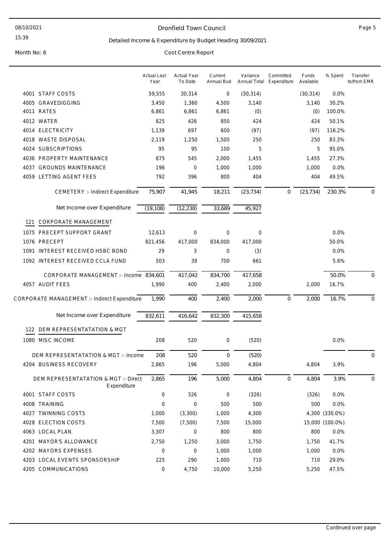#### Dronfield Town Council and the contract of the Page 5

#### Detailed Income & Expenditure by Budget Heading 30/09/2021

|     |                                                     | <b>Actual Last</b><br>Year | <b>Actual Year</b><br>To Date | Current<br>Annual Bud | Variance<br>Annual Total | Committed<br>Expenditure | Funds<br>Available | % Spent         | Transfer<br>to/from EMR |
|-----|-----------------------------------------------------|----------------------------|-------------------------------|-----------------------|--------------------------|--------------------------|--------------------|-----------------|-------------------------|
|     | 4001 STAFF COSTS                                    | 59,555                     | 30,314                        | 0                     | (30, 314)                |                          | (30, 314)          | 0.0%            |                         |
|     | 4005 GRAVEDIGGING                                   | 3,450                      | 1,360                         | 4,500                 | 3,140                    |                          | 3,140              | 30.2%           |                         |
|     | 4011 RATES                                          | 6,861                      | 6,861                         | 6,861                 | (0)                      |                          | (0)                | 100.0%          |                         |
|     | 4012 WATER                                          | 825                        | 426                           | 850                   | 424                      |                          | 424                | 50.1%           |                         |
|     | 4014 ELECTRICITY                                    | 1,139                      | 697                           | 600                   | (97)                     |                          | (97)               | 116.2%          |                         |
|     | 4018 WASTE DISPOSAL                                 | 2,119                      | 1,250                         | 1,500                 | 250                      |                          | 250                | 83.3%           |                         |
|     | 4024 SUBSCRIPTIONS                                  | 95                         | 95                            | 100                   | 5                        |                          | 5                  | 95.0%           |                         |
|     | 4036 PROPERTY MAINTENANCE                           | 875                        | 545                           | 2,000                 | 1,455                    |                          | 1,455              | 27.3%           |                         |
|     | 4037 GROUNDS MAINTENANCE                            | 196                        | $\mathbf 0$                   | 1,000                 | 1,000                    |                          | 1,000              | 0.0%            |                         |
|     | 4059 LETTING AGENT FEES                             | 792                        | 396                           | 800                   | 404                      |                          | 404                | 49.5%           |                         |
|     | <b>CEMETERY :- Indirect Expenditure</b>             | 75,907                     | 41,945                        | 18,211                | (23, 734)                | $\mathbf 0$              | (23, 734)          | 230.3%          | $\mathbf 0$             |
|     | Net Income over Expenditure                         | (19, 108)                  | (12, 238)                     | 33,689                | 45,927                   |                          |                    |                 |                         |
| 121 | CORPORATE MANAGEMENT                                |                            |                               |                       |                          |                          |                    |                 |                         |
|     | 1075 PRECEPT SUPPORT GRANT                          | 12,613                     | 0                             | 0                     | $\mathbf 0$              |                          |                    | 0.0%            |                         |
|     | 1076 PRECEPT                                        | 821,456                    | 417,000                       | 834,000               | 417,000                  |                          |                    | 50.0%           |                         |
|     | 1091 INTEREST RECEIVED HSBC BOND                    | 29                         | 3                             | 0                     | (3)                      |                          |                    | 0.0%            |                         |
|     | 1092 INTEREST RECEIVED CCLA FUND                    | 503                        | 39                            | 700                   | 661                      |                          |                    | 5.6%            |                         |
|     | CORPORATE MANAGEMENT :- Income 834,601              |                            | 417,042                       | 834,700               | 417,658                  |                          |                    | 50.0%           | $\mathbf 0$             |
|     | 4057 AUDIT FEES                                     | 1,990                      | 400                           | 2,400                 | 2,000                    |                          | 2,000              | 16.7%           |                         |
|     | CORPORATE MANAGEMENT :- Indirect Expenditure        | 1,990                      | 400                           | 2,400                 | 2,000                    | $\mathbf 0$              | 2,000              | 16.7%           | $\mathbf 0$             |
|     | Net Income over Expenditure                         | 832,611                    | 416,642                       | 832,300               | 415,658                  |                          |                    |                 |                         |
|     | 122 DEM REPRESENTATATION & MGT                      |                            |                               |                       |                          |                          |                    |                 |                         |
|     | 1080 MISC INCOME                                    | 208                        | 520                           | 0                     | (520)                    |                          |                    | 0.0%            |                         |
|     | DEM REPRESENTATATION & MGT :- Income                | 208                        | 520                           | $\mathbf 0$           | (520)                    |                          |                    |                 | $\overline{0}$          |
|     | 4204 BUSINESS RECOVERY                              | 2,865                      | 196                           | 5,000                 | 4,804                    |                          | 4,804              | 3.9%            |                         |
|     | DEM REPRESENTATATION & MGT :- Direct<br>Expenditure | 2,865                      | 196                           | 5,000                 | 4,804                    | $\mathbf 0$              | 4,804              | 3.9%            | 0                       |
|     | 4001 STAFF COSTS                                    | 0                          | 326                           | 0                     | (326)                    |                          | (326)              | 0.0%            |                         |
|     | 4008 TRAINING                                       | $\boldsymbol{0}$           | $\mathsf{O}\xspace$           | 500                   | 500                      |                          | 500                | 0.0%            |                         |
|     | 4027 TWINNING COSTS                                 | 1,000                      | (3,300)                       | 1,000                 | 4,300                    |                          |                    | 4,300 (330.0%)  |                         |
|     | 4028 ELECTION COSTS                                 | 7,500                      | (7,500)                       | 7,500                 | 15,000                   |                          |                    | 15,000 (100.0%) |                         |
|     | 4063 LOCAL PLAN                                     | 3,307                      | 0                             | 800                   | 800                      |                          | 800                | 0.0%            |                         |
|     | 4201 MAYOR'S ALLOWANCE                              | 2,750                      | 1,250                         | 3,000                 | 1,750                    |                          | 1,750              | 41.7%           |                         |
|     | 4202 MAYORS EXPENSES                                | 0                          | 0                             | 1,000                 | 1,000                    |                          | 1,000              | 0.0%            |                         |
|     | 4203 LOCAL EVENTS SPONSORSHIP                       | 225                        | 290                           | 1,000                 | 710                      |                          | 710                | 29.0%           |                         |
|     | 4205 COMMUNICATIONS                                 | 0                          | 4,750                         | 10,000                | 5,250                    |                          | 5,250              | 47.5%           |                         |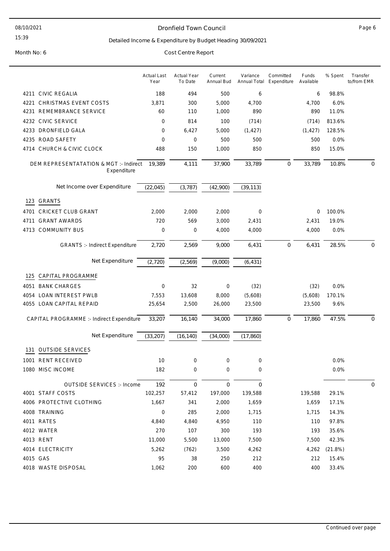#### Dronfield Town Council and the contract of the Page 6

#### Detailed Income & Expenditure by Budget Heading 30/09/2021

|      |                                                       | <b>Actual Last</b><br>Year | <b>Actual Year</b><br>To Date | Current<br>Annual Bud | Variance     | Committed<br>Annual Total Expenditure | Funds<br>Available | % Spent | Transfer<br>to/from EMR |
|------|-------------------------------------------------------|----------------------------|-------------------------------|-----------------------|--------------|---------------------------------------|--------------------|---------|-------------------------|
|      | 4211 CIVIC REGALIA                                    | 188                        | 494                           | 500                   | 6            |                                       | 6                  | 98.8%   |                         |
| 4221 | CHRISTMAS EVENT COSTS                                 | 3,871                      | 300                           | 5,000                 | 4,700        |                                       | 4,700              | 6.0%    |                         |
| 4231 | REMEMBRANCE SERVICE                                   | 60                         | 110                           | 1,000                 | 890          |                                       | 890                | 11.0%   |                         |
|      | 4232 CIVIC SERVICE                                    | 0                          | 814                           | 100                   | (714)        |                                       | (714)              | 813.6%  |                         |
|      | 4233 DRONFIELD GALA                                   | 0                          | 6,427                         | 5,000                 | (1, 427)     |                                       | (1, 427)           | 128.5%  |                         |
|      | 4235 ROAD SAFETY                                      | 0                          | $\mathbf 0$                   | 500                   | 500          |                                       | 500                | 0.0%    |                         |
|      | 4714 CHURCH & CIVIC CLOCK                             | 488                        | 150                           | 1,000                 | 850          |                                       | 850                | 15.0%   |                         |
|      | DEM REPRESENTATATION & MGT :- Indirect<br>Expenditure | 19,389                     | 4,111                         | 37,900                | 33,789       | 0                                     | 33,789             | 10.8%   | $\mathbf 0$             |
|      | Net Income over Expenditure                           | (22, 045)                  | (3, 787)                      | (42,900)              | (39, 113)    |                                       |                    |         |                         |
| 123  | <b>GRANTS</b>                                         |                            |                               |                       |              |                                       |                    |         |                         |
| 4701 | <b>CRICKET CLUB GRANT</b>                             | 2,000                      | 2,000                         | 2,000                 | 0            |                                       | 0                  | 100.0%  |                         |
| 4711 | <b>GRANT AWARDS</b>                                   | 720                        | 569                           | 3,000                 | 2,431        |                                       | 2,431              | 19.0%   |                         |
|      | 4713 COMMUNITY BUS                                    | 0                          | $\mathbf 0$                   | 4,000                 | 4,000        |                                       | 4,000              | 0.0%    |                         |
|      | <b>GRANTS :- Indirect Expenditure</b>                 | 2,720                      | 2,569                         | 9,000                 | 6,431        | 0                                     | 6,431              | 28.5%   | $\mathbf 0$             |
|      | Net Expenditure                                       | (2,720)                    | (2, 569)                      | (9,000)               | (6, 431)     |                                       |                    |         |                         |
| 125  | CAPITAL PROGRAMME                                     |                            |                               |                       |              |                                       |                    |         |                         |
| 4051 | <b>BANK CHARGES</b>                                   | 0                          | 32                            | 0                     | (32)         |                                       | (32)               | 0.0%    |                         |
| 4054 | <b>LOAN INTEREST PWLB</b>                             | 7,553                      | 13,608                        | 8,000                 | (5,608)      |                                       | (5,608)            | 170.1%  |                         |
|      | 4055 LOAN CAPITAL REPAID                              | 25,654                     | 2,500                         | 26,000                | 23,500       |                                       | 23,500             | 9.6%    |                         |
|      | CAPITAL PROGRAMME :- Indirect Expenditure             | 33,207                     | 16,140                        | 34,000                | 17,860       | $\mathbf 0$                           | 17,860             | 47.5%   | $\mathbf 0$             |
|      | Net Expenditure                                       | (33, 207)                  | (16, 140)                     | (34,000)              | (17, 860)    |                                       |                    |         |                         |
| 131  | <b>OUTSIDE SERVICES</b>                               |                            |                               |                       |              |                                       |                    |         |                         |
|      | 1001 RENT RECEIVED                                    | 10                         | $\mathbf 0$                   | 0                     | $\mathbf 0$  |                                       |                    | 0.0%    |                         |
|      | 1080 MISC INCOME                                      | 182                        | 0                             | 0                     | 0            |                                       |                    | 0.0%    |                         |
|      | <b>OUTSIDE SERVICES :- Income</b>                     | 192                        | $\mathbf 0$                   | $\mathbf 0$           | $\mathbf{0}$ |                                       |                    |         | $\mathbf 0$             |
|      | 4001 STAFF COSTS                                      | 102,257                    | 57,412                        | 197,000               | 139,588      |                                       | 139,588            | 29.1%   |                         |
|      | 4006 PROTECTIVE CLOTHING                              | 1,667                      | 341                           | 2,000                 | 1,659        |                                       | 1,659              | 17.1%   |                         |
|      | 4008 TRAINING                                         | 0                          | 285                           | 2,000                 | 1,715        |                                       | 1,715              | 14.3%   |                         |
|      | 4011 RATES                                            | 4,840                      | 4,840                         | 4,950                 | 110          |                                       | 110                | 97.8%   |                         |
|      | 4012 WATER                                            | 270                        | 107                           | 300                   | 193          |                                       | 193                | 35.6%   |                         |
|      | 4013 RENT                                             | 11,000                     | 5,500                         | 13,000                | 7,500        |                                       | 7,500              | 42.3%   |                         |
|      | 4014 ELECTRICITY                                      | 5,262                      | (762)                         | 3,500                 | 4,262        |                                       | 4,262              | (21.8%) |                         |
|      | 4015 GAS                                              | 95                         | 38                            | 250                   | 212          |                                       | 212                | 15.4%   |                         |
|      | 4018 WASTE DISPOSAL                                   | 1,062                      | 200                           | 600                   | 400          |                                       | 400                | 33.4%   |                         |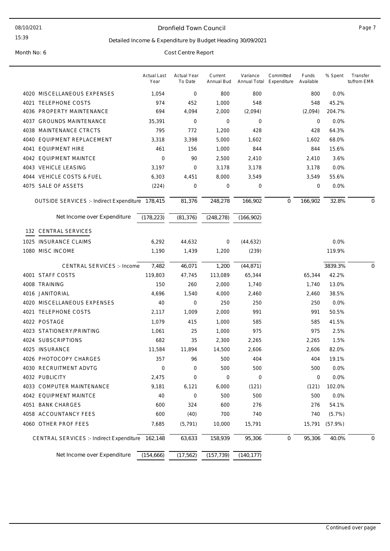#### 08/10/2021

#### 15:39

#### Dronfield Town Council **Page 7**

#### Detailed Income & Expenditure by Budget Heading 30/09/2021

|                                                  | <b>Actual Last</b><br>Year | <b>Actual Year</b><br>To Date | Current<br>Annual Bud | Variance<br>Annual Total | Committed<br>Expenditure | Funds<br>Available | % Spent | Transfer<br>to/from EMR |
|--------------------------------------------------|----------------------------|-------------------------------|-----------------------|--------------------------|--------------------------|--------------------|---------|-------------------------|
| 4020 MISCELLANEOUS EXPENSES                      | 1,054                      | 0                             | 800                   | 800                      |                          | 800                | 0.0%    |                         |
| 4021 TELEPHONE COSTS                             | 974                        | 452                           | 1,000                 | 548                      |                          | 548                | 45.2%   |                         |
| 4036 PROPERTY MAINTENANCE                        | 694                        | 4,094                         | 2,000                 | (2,094)                  |                          | (2,094)            | 204.7%  |                         |
| 4037 GROUNDS MAINTENANCE                         | 35,391                     | $\mathbf 0$                   | 0                     | $\mathbf 0$              |                          | 0                  | 0.0%    |                         |
| 4038 MAINTENANCE CTRCTS                          | 795                        | 772                           | 1,200                 | 428                      |                          | 428                | 64.3%   |                         |
| 4040 EQUIPMENT REPLACEMENT                       | 3,318                      | 3,398                         | 5,000                 | 1,602                    |                          | 1,602              | 68.0%   |                         |
| 4041 EQUIPMENT HIRE                              | 461                        | 156                           | 1,000                 | 844                      |                          | 844                | 15.6%   |                         |
| 4042 EQUIPMENT MAINTCE                           | 0                          | 90                            | 2,500                 | 2,410                    |                          | 2,410              | 3.6%    |                         |
| 4043 VEHICLE LEASING                             | 3,197                      | 0                             | 3,178                 | 3,178                    |                          | 3,178              | 0.0%    |                         |
| 4044 VEHICLE COSTS & FUEL                        | 6,303                      | 4,451                         | 8,000                 | 3,549                    |                          | 3,549              | 55.6%   |                         |
| 4075 SALE OF ASSETS                              | (224)                      | $\mathbf 0$                   | 0                     | $\mathbf 0$              |                          | 0                  | 0.0%    |                         |
| OUTSIDE SERVICES :- Indirect Expenditure 178,415 |                            | 81,376                        | 248,278               | 166,902                  | $\mathbf 0$              | 166,902            | 32.8%   | $\mathbf 0$             |
|                                                  |                            |                               |                       |                          |                          |                    |         |                         |
| Net Income over Expenditure                      | (178, 223)                 | (81, 376)                     | (248, 278)            | (166, 902)               |                          |                    |         |                         |
| 132 CENTRAL SERVICES                             |                            |                               |                       |                          |                          |                    |         |                         |
| 1025 INSURANCE CLAIMS                            | 6,292                      | 44,632                        | 0                     | (44, 632)                |                          |                    | 0.0%    |                         |
| 1080 MISC INCOME                                 | 1,190                      | 1,439                         | 1,200                 | (239)                    |                          |                    | 119.9%  |                         |
| <b>CENTRAL SERVICES :- Income</b>                | 7,482                      | 46,071                        | 1,200                 | (44, 871)                |                          |                    | 3839.3% | $\mathbf{0}$            |
| 4001 STAFF COSTS                                 | 119,803                    | 47,745                        | 113,089               | 65,344                   |                          | 65,344             | 42.2%   |                         |
| 4008 TRAINING                                    | 150                        | 260                           | 2,000                 | 1,740                    |                          | 1,740              | 13.0%   |                         |
| 4016 JANITORIAL                                  | 4,696                      | 1,540                         | 4,000                 | 2,460                    |                          | 2,460              | 38.5%   |                         |
| 4020 MISCELLANEOUS EXPENSES                      | 40                         | 0                             | 250                   | 250                      |                          | 250                | 0.0%    |                         |
| 4021 TELEPHONE COSTS                             | 2,117                      | 1,009                         | 2,000                 | 991                      |                          | 991                | 50.5%   |                         |
| 4022 POSTAGE                                     | 1,079                      | 415                           | 1,000                 | 585                      |                          | 585                | 41.5%   |                         |
| 4023 STATIONERY/PRINTING                         | 1,061                      | 25                            | 1,000                 | 975                      |                          | 975                | 2.5%    |                         |
| 4024 SUBSCRIPTIONS                               | 682                        | 35                            | 2,300                 | 2,265                    |                          | 2,265              | 1.5%    |                         |
| 4025 INSURANCE                                   | 11,584                     | 11,894                        | 14,500                | 2,606                    |                          | 2,606              | 82.0%   |                         |
| 4026 PHOTOCOPY CHARGES                           | 357                        | 96                            | 500                   | 404                      |                          | 404                | 19.1%   |                         |
| 4030 RECRUITMENT ADVTG                           | 0                          | 0                             | 500                   | 500                      |                          | 500                | 0.0%    |                         |
| 4032 PUBLICITY                                   | 2,475                      | 0                             | 0                     | 0                        |                          | 0                  | 0.0%    |                         |
| 4033 COMPUTER MAINTENANCE                        | 9,181                      | 6,121                         | 6,000                 | (121)                    |                          | (121)              | 102.0%  |                         |
| 4042 EQUIPMENT MAINTCE                           | 40                         | 0                             | 500                   | 500                      |                          | 500                | 0.0%    |                         |
| 4051 BANK CHARGES                                | 600                        | 324                           | 600                   | 276                      |                          | 276                | 54.1%   |                         |
| 4058 ACCOUNTANCY FEES                            | 600                        | (40)                          | 700                   | 740                      |                          | 740                | (5.7%)  |                         |
| 4060 OTHER PROF FEES                             | 7,685                      | (5, 791)                      | 10,000                | 15,791                   |                          | 15,791             | (57.9%) |                         |
| CENTRAL SERVICES :- Indirect Expenditure 162,148 |                            | 63,633                        | 158,939               | 95,306                   | $\mathbf 0$              | 95,306             | 40.0%   | 0                       |
| Net Income over Expenditure                      | (154, 666)                 | (17, 562)                     | (157, 739)            | (140, 177)               |                          |                    |         |                         |
|                                                  |                            |                               |                       |                          |                          |                    |         |                         |